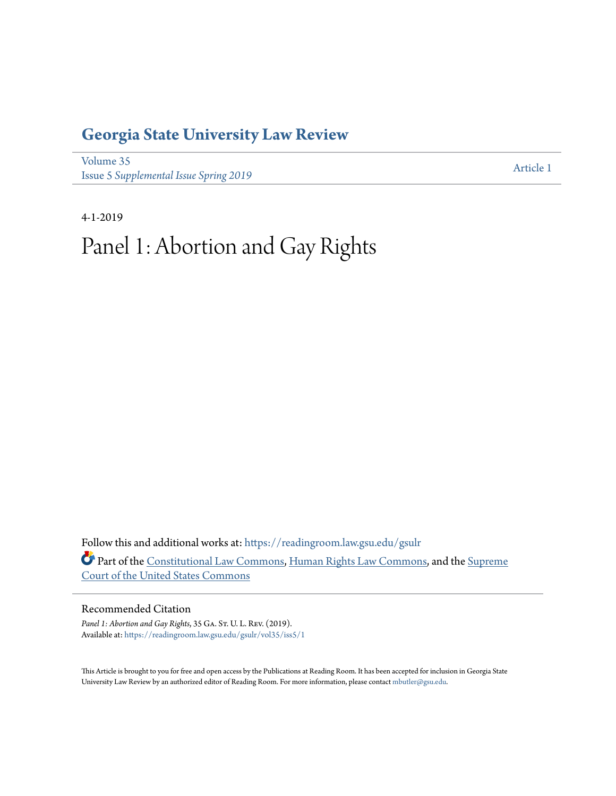## **[Georgia State University Law Review](https://readingroom.law.gsu.edu/gsulr?utm_source=readingroom.law.gsu.edu%2Fgsulr%2Fvol35%2Fiss5%2F1&utm_medium=PDF&utm_campaign=PDFCoverPages)**

[Volume 35](https://readingroom.law.gsu.edu/gsulr/vol35?utm_source=readingroom.law.gsu.edu%2Fgsulr%2Fvol35%2Fiss5%2F1&utm_medium=PDF&utm_campaign=PDFCoverPages) **Issue 5** *[Supplemental Issue Spring 2019](https://readingroom.law.gsu.edu/gsulr/vol35/iss5?utm_source=readingroom.law.gsu.edu%2Fgsulr%2Fvol35%2Fiss5%2F1&utm_medium=PDF&utm_campaign=PDFCoverPages)* [Article 1](https://readingroom.law.gsu.edu/gsulr/vol35/iss5/1?utm_source=readingroom.law.gsu.edu%2Fgsulr%2Fvol35%2Fiss5%2F1&utm_medium=PDF&utm_campaign=PDFCoverPages)

4-1-2019

# Panel 1: Abortion and Gay Rights

Follow this and additional works at: [https://readingroom.law.gsu.edu/gsulr](https://readingroom.law.gsu.edu/gsulr?utm_source=readingroom.law.gsu.edu%2Fgsulr%2Fvol35%2Fiss5%2F1&utm_medium=PDF&utm_campaign=PDFCoverPages) Part of the [Constitutional Law Commons,](http://network.bepress.com/hgg/discipline/589?utm_source=readingroom.law.gsu.edu%2Fgsulr%2Fvol35%2Fiss5%2F1&utm_medium=PDF&utm_campaign=PDFCoverPages) [Human Rights Law Commons](http://network.bepress.com/hgg/discipline/847?utm_source=readingroom.law.gsu.edu%2Fgsulr%2Fvol35%2Fiss5%2F1&utm_medium=PDF&utm_campaign=PDFCoverPages), and the [Supreme](http://network.bepress.com/hgg/discipline/1350?utm_source=readingroom.law.gsu.edu%2Fgsulr%2Fvol35%2Fiss5%2F1&utm_medium=PDF&utm_campaign=PDFCoverPages) [Court of the United States Commons](http://network.bepress.com/hgg/discipline/1350?utm_source=readingroom.law.gsu.edu%2Fgsulr%2Fvol35%2Fiss5%2F1&utm_medium=PDF&utm_campaign=PDFCoverPages)

## Recommended Citation

Panel 1: Abortion and Gay Rights, 35 GA. St. U. L. Rev. (2019). Available at: [https://readingroom.law.gsu.edu/gsulr/vol35/iss5/1](https://readingroom.law.gsu.edu/gsulr/vol35/iss5/1?utm_source=readingroom.law.gsu.edu%2Fgsulr%2Fvol35%2Fiss5%2F1&utm_medium=PDF&utm_campaign=PDFCoverPages)

This Article is brought to you for free and open access by the Publications at Reading Room. It has been accepted for inclusion in Georgia State University Law Review by an authorized editor of Reading Room. For more information, please contact [mbutler@gsu.edu.](mailto:mbutler@gsu.edu)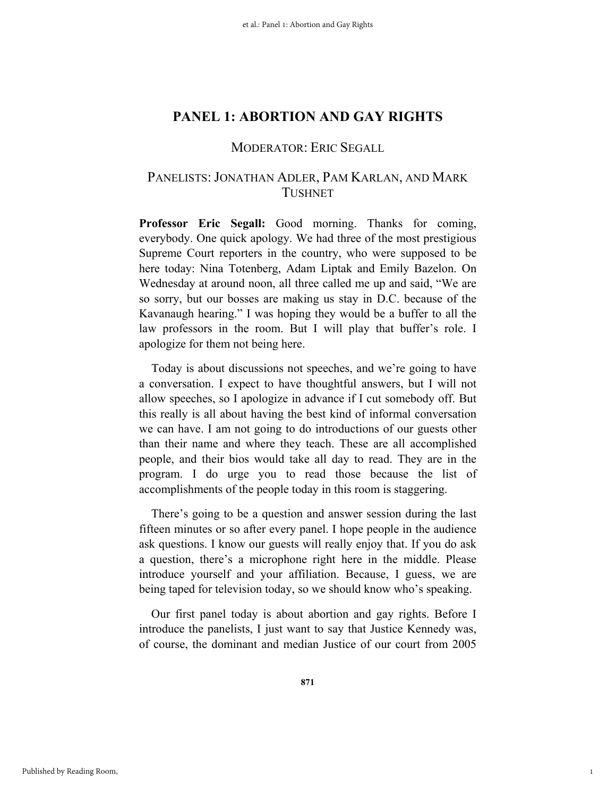## MODERATOR: ERIC SEGALL

## PANELISTS: JONATHAN ADLER, PAM KARLAN, AND MARK TUSHNET

**Professor Eric Segall:** Good morning. Thanks for coming, everybody. One quick apology. We had three of the most prestigious Supreme Court reporters in the country, who were supposed to be here today: Nina Totenberg, Adam Liptak and Emily Bazelon. On Wednesday at around noon, all three called me up and said, "We are so sorry, but our bosses are making us stay in D.C. because of the Kavanaugh hearing." I was hoping they would be a buffer to all the law professors in the room. But I will play that buffer's role. I apologize for them not being here.

Today is about discussions not speeches, and we're going to have a conversation. I expect to have thoughtful answers, but I will not allow speeches, so I apologize in advance if I cut somebody off. But this really is all about having the best kind of informal conversation we can have. I am not going to do introductions of our guests other than their name and where they teach. These are all accomplished people, and their bios would take all day to read. They are in the program. I do urge you to read those because the list of accomplishments of the people today in this room is staggering.

There's going to be a question and answer session during the last fifteen minutes or so after every panel. I hope people in the audience ask questions. I know our guests will really enjoy that. If you do ask a question, there's a microphone right here in the middle. Please introduce yourself and your affiliation. Because, I guess, we are being taped for television today, so we should know who's speaking.

Our first panel today is about abortion and gay rights. Before I introduce the panelists, I just want to say that Justice Kennedy was, of course, the dominant and median Justice of our court from 2005

1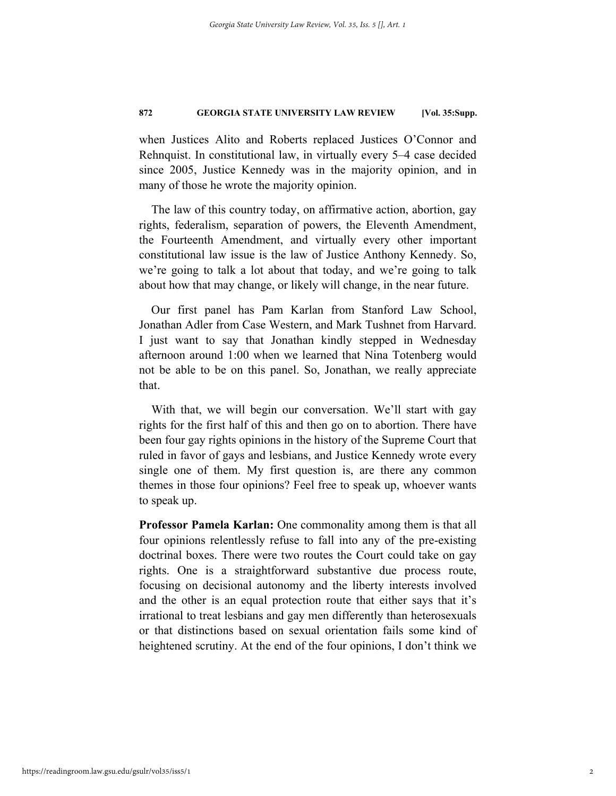when Justices Alito and Roberts replaced Justices O'Connor and Rehnquist. In constitutional law, in virtually every 5–4 case decided since 2005, Justice Kennedy was in the majority opinion, and in many of those he wrote the majority opinion.

The law of this country today, on affirmative action, abortion, gay rights, federalism, separation of powers, the Eleventh Amendment, the Fourteenth Amendment, and virtually every other important constitutional law issue is the law of Justice Anthony Kennedy. So, we're going to talk a lot about that today, and we're going to talk about how that may change, or likely will change, in the near future.

Our first panel has Pam Karlan from Stanford Law School, Jonathan Adler from Case Western, and Mark Tushnet from Harvard. I just want to say that Jonathan kindly stepped in Wednesday afternoon around 1:00 when we learned that Nina Totenberg would not be able to be on this panel. So, Jonathan, we really appreciate that.

With that, we will begin our conversation. We'll start with gay rights for the first half of this and then go on to abortion. There have been four gay rights opinions in the history of the Supreme Court that ruled in favor of gays and lesbians, and Justice Kennedy wrote every single one of them. My first question is, are there any common themes in those four opinions? Feel free to speak up, whoever wants to speak up.

**Professor Pamela Karlan:** One commonality among them is that all four opinions relentlessly refuse to fall into any of the pre-existing doctrinal boxes. There were two routes the Court could take on gay rights. One is a straightforward substantive due process route, focusing on decisional autonomy and the liberty interests involved and the other is an equal protection route that either says that it's irrational to treat lesbians and gay men differently than heterosexuals or that distinctions based on sexual orientation fails some kind of heightened scrutiny. At the end of the four opinions, I don't think we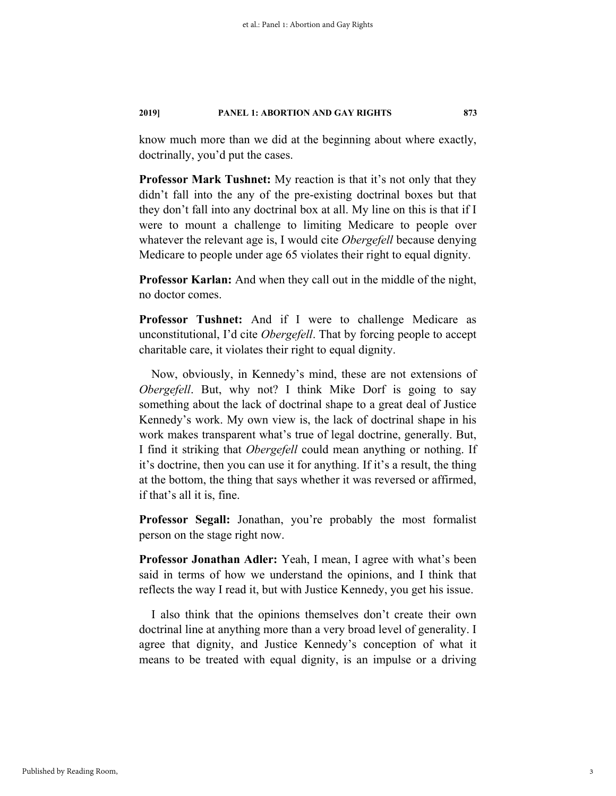know much more than we did at the beginning about where exactly, doctrinally, you'd put the cases.

**Professor Mark Tushnet:** My reaction is that it's not only that they didn't fall into the any of the pre-existing doctrinal boxes but that they don't fall into any doctrinal box at all. My line on this is that if I were to mount a challenge to limiting Medicare to people over whatever the relevant age is, I would cite *Obergefell* because denying Medicare to people under age 65 violates their right to equal dignity.

**Professor Karlan:** And when they call out in the middle of the night, no doctor comes.

**Professor Tushnet:** And if I were to challenge Medicare as unconstitutional, I'd cite *Obergefell*. That by forcing people to accept charitable care, it violates their right to equal dignity.

Now, obviously, in Kennedy's mind, these are not extensions of *Obergefell*. But, why not? I think Mike Dorf is going to say something about the lack of doctrinal shape to a great deal of Justice Kennedy's work. My own view is, the lack of doctrinal shape in his work makes transparent what's true of legal doctrine, generally. But, I find it striking that *Obergefell* could mean anything or nothing. If it's doctrine, then you can use it for anything. If it's a result, the thing at the bottom, the thing that says whether it was reversed or affirmed, if that's all it is, fine.

**Professor Segall:** Jonathan, you're probably the most formalist person on the stage right now.

**Professor Jonathan Adler:** Yeah, I mean, I agree with what's been said in terms of how we understand the opinions, and I think that reflects the way I read it, but with Justice Kennedy, you get his issue.

I also think that the opinions themselves don't create their own doctrinal line at anything more than a very broad level of generality. I agree that dignity, and Justice Kennedy's conception of what it means to be treated with equal dignity, is an impulse or a driving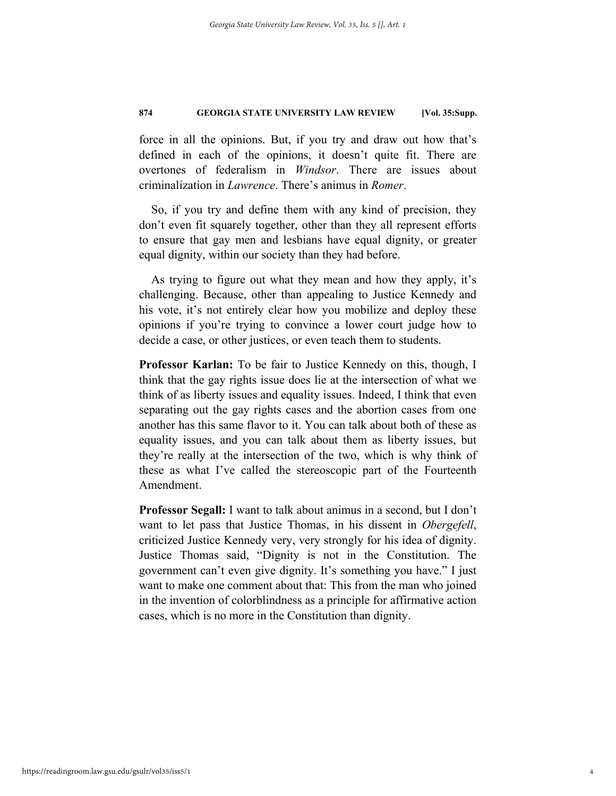force in all the opinions. But, if you try and draw out how that's defined in each of the opinions, it doesn't quite fit. There are overtones of federalism in *Windsor*. There are issues about criminalization in *Lawrence*. There's animus in *Romer*.

So, if you try and define them with any kind of precision, they don't even fit squarely together, other than they all represent efforts to ensure that gay men and lesbians have equal dignity, or greater equal dignity, within our society than they had before.

As trying to figure out what they mean and how they apply, it's challenging. Because, other than appealing to Justice Kennedy and his vote, it's not entirely clear how you mobilize and deploy these opinions if you're trying to convince a lower court judge how to decide a case, or other justices, or even teach them to students.

**Professor Karlan:** To be fair to Justice Kennedy on this, though, I think that the gay rights issue does lie at the intersection of what we think of as liberty issues and equality issues. Indeed, I think that even separating out the gay rights cases and the abortion cases from one another has this same flavor to it. You can talk about both of these as equality issues, and you can talk about them as liberty issues, but they're really at the intersection of the two, which is why think of these as what I've called the stereoscopic part of the Fourteenth Amendment.

**Professor Segall:** I want to talk about animus in a second, but I don't want to let pass that Justice Thomas, in his dissent in *Obergefell*, criticized Justice Kennedy very, very strongly for his idea of dignity. Justice Thomas said, "Dignity is not in the Constitution. The government can't even give dignity. It's something you have." I just want to make one comment about that: This from the man who joined in the invention of colorblindness as a principle for affirmative action cases, which is no more in the Constitution than dignity.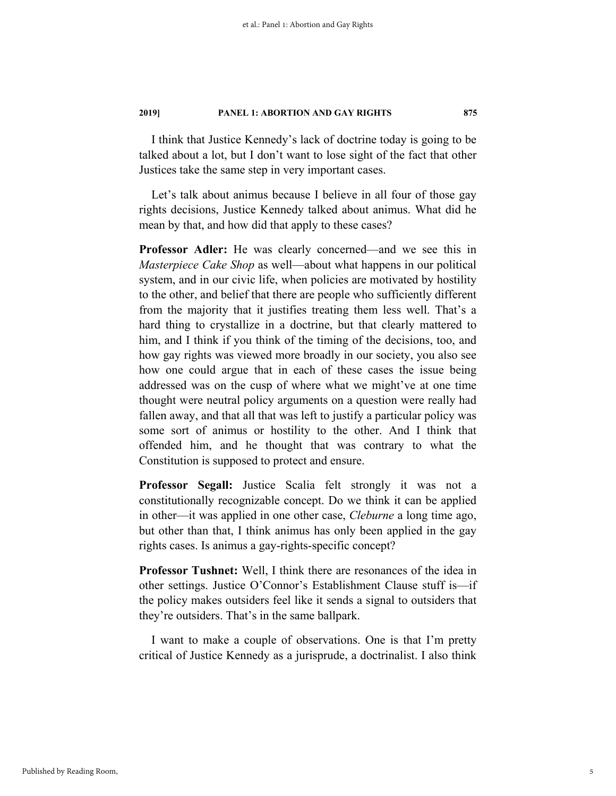I think that Justice Kennedy's lack of doctrine today is going to be talked about a lot, but I don't want to lose sight of the fact that other Justices take the same step in very important cases.

Let's talk about animus because I believe in all four of those gay rights decisions, Justice Kennedy talked about animus. What did he mean by that, and how did that apply to these cases?

**Professor Adler:** He was clearly concerned—and we see this in *Masterpiece Cake Shop* as well—about what happens in our political system, and in our civic life, when policies are motivated by hostility to the other, and belief that there are people who sufficiently different from the majority that it justifies treating them less well. That's a hard thing to crystallize in a doctrine, but that clearly mattered to him, and I think if you think of the timing of the decisions, too, and how gay rights was viewed more broadly in our society, you also see how one could argue that in each of these cases the issue being addressed was on the cusp of where what we might've at one time thought were neutral policy arguments on a question were really had fallen away, and that all that was left to justify a particular policy was some sort of animus or hostility to the other. And I think that offended him, and he thought that was contrary to what the Constitution is supposed to protect and ensure.

**Professor Segall:** Justice Scalia felt strongly it was not a constitutionally recognizable concept. Do we think it can be applied in other—it was applied in one other case, *Cleburne* a long time ago, but other than that, I think animus has only been applied in the gay rights cases. Is animus a gay-rights-specific concept?

**Professor Tushnet:** Well, I think there are resonances of the idea in other settings. Justice O'Connor's Establishment Clause stuff is—if the policy makes outsiders feel like it sends a signal to outsiders that they're outsiders. That's in the same ballpark.

I want to make a couple of observations. One is that I'm pretty critical of Justice Kennedy as a jurisprude, a doctrinalist. I also think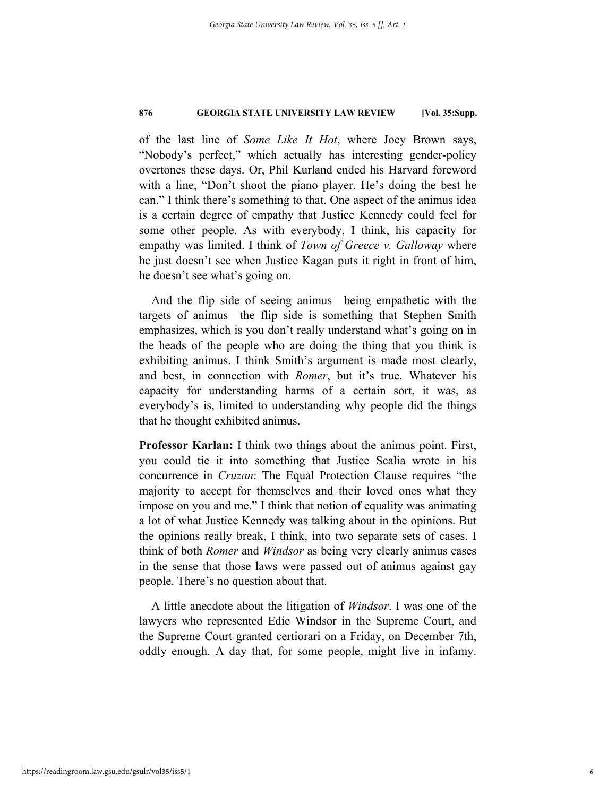of the last line of *Some Like It Hot*, where Joey Brown says, "Nobody's perfect," which actually has interesting gender-policy overtones these days. Or, Phil Kurland ended his Harvard foreword with a line, "Don't shoot the piano player. He's doing the best he can." I think there's something to that. One aspect of the animus idea is a certain degree of empathy that Justice Kennedy could feel for some other people. As with everybody, I think, his capacity for empathy was limited. I think of *Town of Greece v. Galloway* where he just doesn't see when Justice Kagan puts it right in front of him, he doesn't see what's going on.

And the flip side of seeing animus—being empathetic with the targets of animus—the flip side is something that Stephen Smith emphasizes, which is you don't really understand what's going on in the heads of the people who are doing the thing that you think is exhibiting animus. I think Smith's argument is made most clearly, and best, in connection with *Romer*, but it's true. Whatever his capacity for understanding harms of a certain sort, it was, as everybody's is, limited to understanding why people did the things that he thought exhibited animus.

**Professor Karlan:** I think two things about the animus point. First, you could tie it into something that Justice Scalia wrote in his concurrence in *Cruzan*: The Equal Protection Clause requires "the majority to accept for themselves and their loved ones what they impose on you and me." I think that notion of equality was animating a lot of what Justice Kennedy was talking about in the opinions. But the opinions really break, I think, into two separate sets of cases. I think of both *Romer* and *Windsor* as being very clearly animus cases in the sense that those laws were passed out of animus against gay people. There's no question about that.

A little anecdote about the litigation of *Windsor*. I was one of the lawyers who represented Edie Windsor in the Supreme Court, and the Supreme Court granted certiorari on a Friday, on December 7th, oddly enough. A day that, for some people, might live in infamy.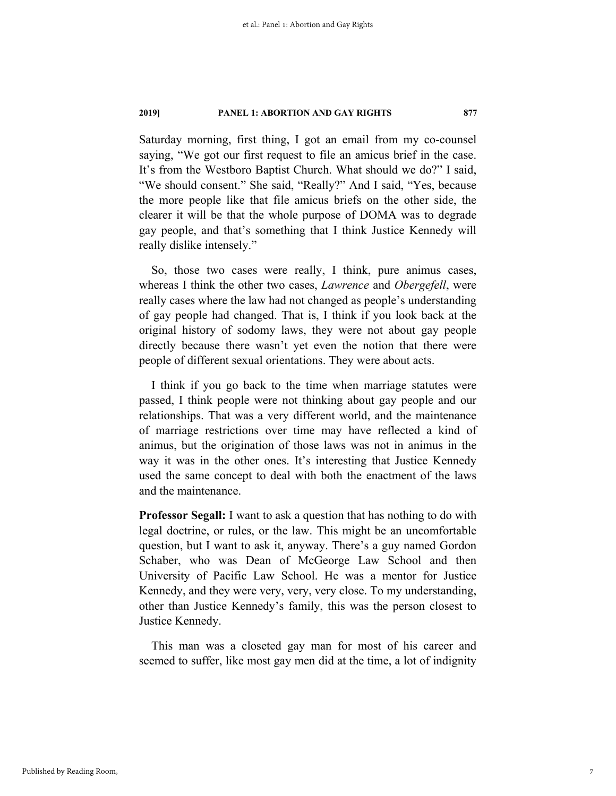Saturday morning, first thing, I got an email from my co-counsel saying, "We got our first request to file an amicus brief in the case. It's from the Westboro Baptist Church. What should we do?" I said, "We should consent." She said, "Really?" And I said, "Yes, because the more people like that file amicus briefs on the other side, the clearer it will be that the whole purpose of DOMA was to degrade gay people, and that's something that I think Justice Kennedy will really dislike intensely."

So, those two cases were really, I think, pure animus cases, whereas I think the other two cases, *Lawrence* and *Obergefell*, were really cases where the law had not changed as people's understanding of gay people had changed. That is, I think if you look back at the original history of sodomy laws, they were not about gay people directly because there wasn't yet even the notion that there were people of different sexual orientations. They were about acts.

I think if you go back to the time when marriage statutes were passed, I think people were not thinking about gay people and our relationships. That was a very different world, and the maintenance of marriage restrictions over time may have reflected a kind of animus, but the origination of those laws was not in animus in the way it was in the other ones. It's interesting that Justice Kennedy used the same concept to deal with both the enactment of the laws and the maintenance.

**Professor Segall:** I want to ask a question that has nothing to do with legal doctrine, or rules, or the law. This might be an uncomfortable question, but I want to ask it, anyway. There's a guy named Gordon Schaber, who was Dean of McGeorge Law School and then University of Pacific Law School. He was a mentor for Justice Kennedy, and they were very, very, very close. To my understanding, other than Justice Kennedy's family, this was the person closest to Justice Kennedy.

This man was a closeted gay man for most of his career and seemed to suffer, like most gay men did at the time, a lot of indignity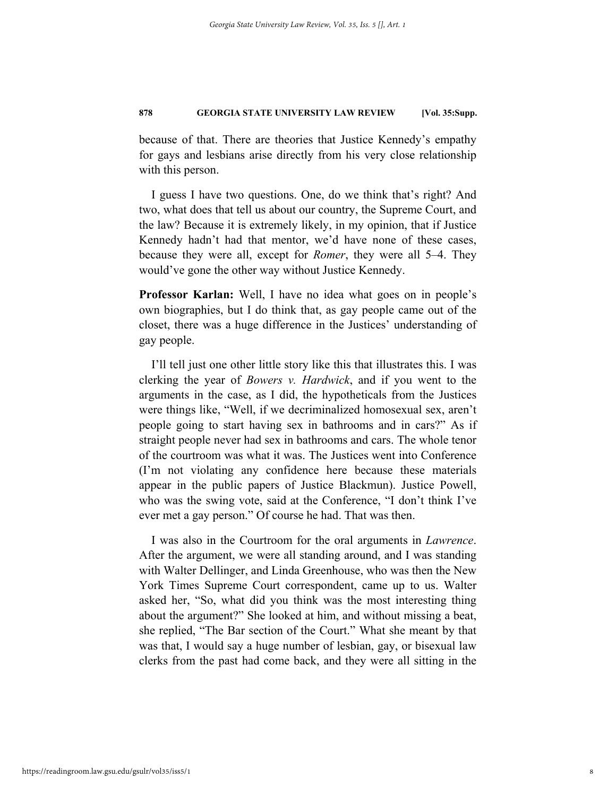because of that. There are theories that Justice Kennedy's empathy for gays and lesbians arise directly from his very close relationship with this person.

I guess I have two questions. One, do we think that's right? And two, what does that tell us about our country, the Supreme Court, and the law? Because it is extremely likely, in my opinion, that if Justice Kennedy hadn't had that mentor, we'd have none of these cases, because they were all, except for *Romer*, they were all 5–4. They would've gone the other way without Justice Kennedy.

**Professor Karlan:** Well, I have no idea what goes on in people's own biographies, but I do think that, as gay people came out of the closet, there was a huge difference in the Justices' understanding of gay people.

I'll tell just one other little story like this that illustrates this. I was clerking the year of *Bowers v. Hardwick*, and if you went to the arguments in the case, as I did, the hypotheticals from the Justices were things like, "Well, if we decriminalized homosexual sex, aren't people going to start having sex in bathrooms and in cars?" As if straight people never had sex in bathrooms and cars. The whole tenor of the courtroom was what it was. The Justices went into Conference (I'm not violating any confidence here because these materials appear in the public papers of Justice Blackmun). Justice Powell, who was the swing vote, said at the Conference, "I don't think I've ever met a gay person." Of course he had. That was then.

I was also in the Courtroom for the oral arguments in *Lawrence*. After the argument, we were all standing around, and I was standing with Walter Dellinger, and Linda Greenhouse, who was then the New York Times Supreme Court correspondent, came up to us. Walter asked her, "So, what did you think was the most interesting thing about the argument?" She looked at him, and without missing a beat, she replied, "The Bar section of the Court." What she meant by that was that, I would say a huge number of lesbian, gay, or bisexual law clerks from the past had come back, and they were all sitting in the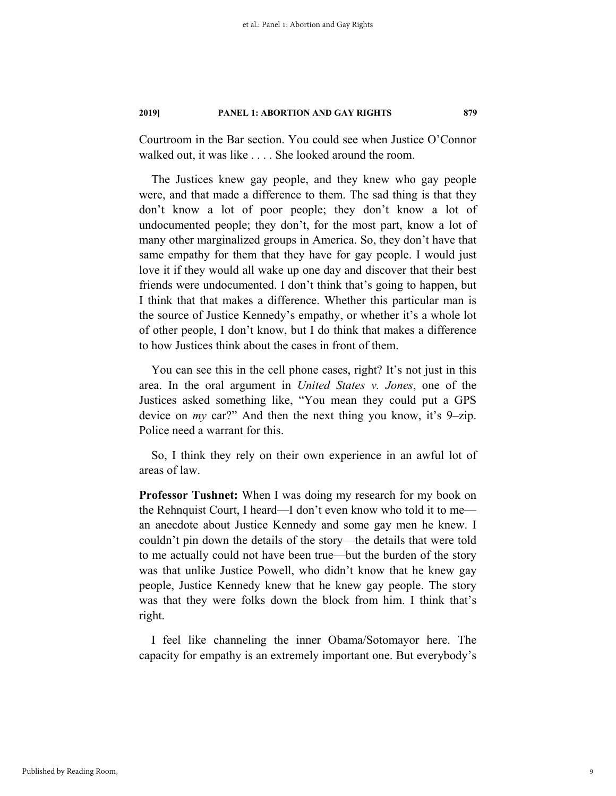Courtroom in the Bar section. You could see when Justice O'Connor walked out, it was like . . . . She looked around the room.

The Justices knew gay people, and they knew who gay people were, and that made a difference to them. The sad thing is that they don't know a lot of poor people; they don't know a lot of undocumented people; they don't, for the most part, know a lot of many other marginalized groups in America. So, they don't have that same empathy for them that they have for gay people. I would just love it if they would all wake up one day and discover that their best friends were undocumented. I don't think that's going to happen, but I think that that makes a difference. Whether this particular man is the source of Justice Kennedy's empathy, or whether it's a whole lot of other people, I don't know, but I do think that makes a difference to how Justices think about the cases in front of them.

You can see this in the cell phone cases, right? It's not just in this area. In the oral argument in *United States v. Jones*, one of the Justices asked something like, "You mean they could put a GPS device on *my* car?" And then the next thing you know, it's 9-zip. Police need a warrant for this.

So, I think they rely on their own experience in an awful lot of areas of law.

**Professor Tushnet:** When I was doing my research for my book on the Rehnquist Court, I heard—I don't even know who told it to me an anecdote about Justice Kennedy and some gay men he knew. I couldn't pin down the details of the story—the details that were told to me actually could not have been true—but the burden of the story was that unlike Justice Powell, who didn't know that he knew gay people, Justice Kennedy knew that he knew gay people. The story was that they were folks down the block from him. I think that's right.

I feel like channeling the inner Obama/Sotomayor here. The capacity for empathy is an extremely important one. But everybody's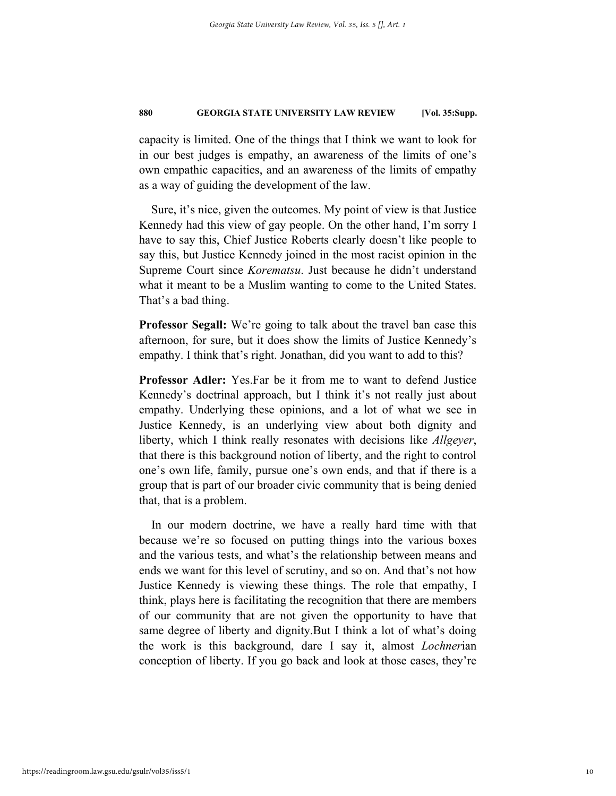capacity is limited. One of the things that I think we want to look for in our best judges is empathy, an awareness of the limits of one's own empathic capacities, and an awareness of the limits of empathy as a way of guiding the development of the law.

Sure, it's nice, given the outcomes. My point of view is that Justice Kennedy had this view of gay people. On the other hand, I'm sorry I have to say this, Chief Justice Roberts clearly doesn't like people to say this, but Justice Kennedy joined in the most racist opinion in the Supreme Court since *Korematsu*. Just because he didn't understand what it meant to be a Muslim wanting to come to the United States. That's a bad thing.

**Professor Segall:** We're going to talk about the travel ban case this afternoon, for sure, but it does show the limits of Justice Kennedy's empathy. I think that's right. Jonathan, did you want to add to this?

**Professor Adler:** Yes.Far be it from me to want to defend Justice Kennedy's doctrinal approach, but I think it's not really just about empathy. Underlying these opinions, and a lot of what we see in Justice Kennedy, is an underlying view about both dignity and liberty, which I think really resonates with decisions like *Allgeyer*, that there is this background notion of liberty, and the right to control one's own life, family, pursue one's own ends, and that if there is a group that is part of our broader civic community that is being denied that, that is a problem.

In our modern doctrine, we have a really hard time with that because we're so focused on putting things into the various boxes and the various tests, and what's the relationship between means and ends we want for this level of scrutiny, and so on. And that's not how Justice Kennedy is viewing these things. The role that empathy, I think, plays here is facilitating the recognition that there are members of our community that are not given the opportunity to have that same degree of liberty and dignity.But I think a lot of what's doing the work is this background, dare I say it, almost *Lochner*ian conception of liberty. If you go back and look at those cases, they're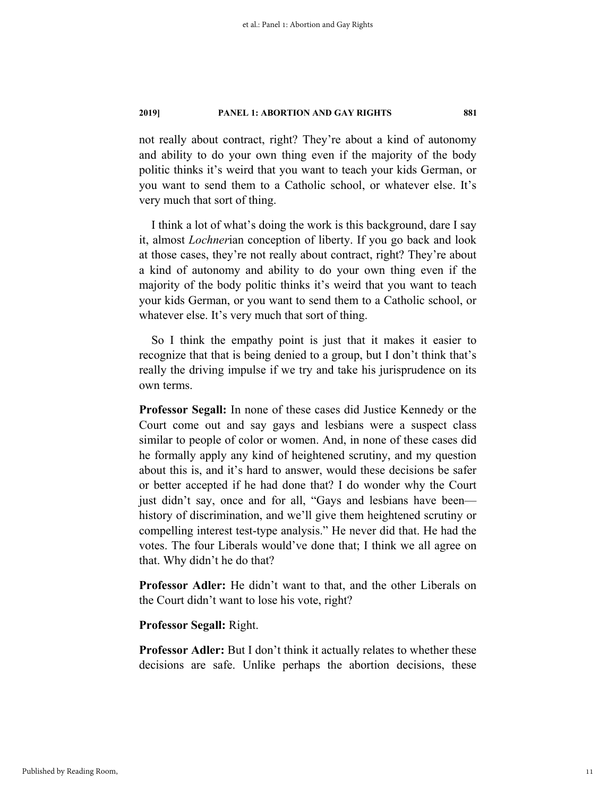not really about contract, right? They're about a kind of autonomy and ability to do your own thing even if the majority of the body politic thinks it's weird that you want to teach your kids German, or you want to send them to a Catholic school, or whatever else. It's very much that sort of thing.

I think a lot of what's doing the work is this background, dare I say it, almost *Lochner*ian conception of liberty. If you go back and look at those cases, they're not really about contract, right? They're about a kind of autonomy and ability to do your own thing even if the majority of the body politic thinks it's weird that you want to teach your kids German, or you want to send them to a Catholic school, or whatever else. It's very much that sort of thing.

So I think the empathy point is just that it makes it easier to recognize that that is being denied to a group, but I don't think that's really the driving impulse if we try and take his jurisprudence on its own terms.

**Professor Segall:** In none of these cases did Justice Kennedy or the Court come out and say gays and lesbians were a suspect class similar to people of color or women. And, in none of these cases did he formally apply any kind of heightened scrutiny, and my question about this is, and it's hard to answer, would these decisions be safer or better accepted if he had done that? I do wonder why the Court just didn't say, once and for all, "Gays and lesbians have been history of discrimination, and we'll give them heightened scrutiny or compelling interest test-type analysis." He never did that. He had the votes. The four Liberals would've done that; I think we all agree on that. Why didn't he do that?

**Professor Adler:** He didn't want to that, and the other Liberals on the Court didn't want to lose his vote, right?

**Professor Segall:** Right.

**Professor Adler:** But I don't think it actually relates to whether these decisions are safe. Unlike perhaps the abortion decisions, these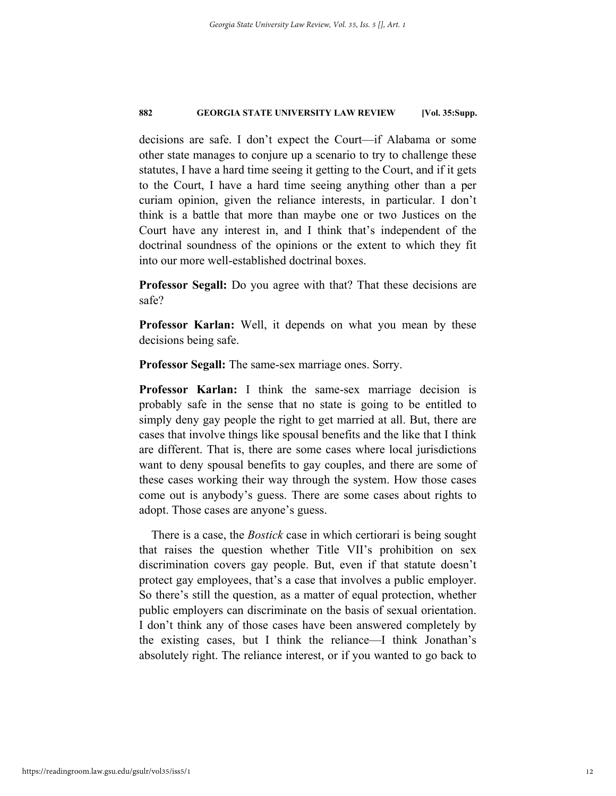decisions are safe. I don't expect the Court—if Alabama or some other state manages to conjure up a scenario to try to challenge these statutes, I have a hard time seeing it getting to the Court, and if it gets to the Court, I have a hard time seeing anything other than a per curiam opinion, given the reliance interests, in particular. I don't think is a battle that more than maybe one or two Justices on the Court have any interest in, and I think that's independent of the doctrinal soundness of the opinions or the extent to which they fit into our more well-established doctrinal boxes.

**Professor Segall:** Do you agree with that? That these decisions are safe?

**Professor Karlan:** Well, it depends on what you mean by these decisions being safe.

**Professor Segall:** The same-sex marriage ones. Sorry.

**Professor Karlan:** I think the same-sex marriage decision is probably safe in the sense that no state is going to be entitled to simply deny gay people the right to get married at all. But, there are cases that involve things like spousal benefits and the like that I think are different. That is, there are some cases where local jurisdictions want to deny spousal benefits to gay couples, and there are some of these cases working their way through the system. How those cases come out is anybody's guess. There are some cases about rights to adopt. Those cases are anyone's guess.

There is a case, the *Bostick* case in which certiorari is being sought that raises the question whether Title VII's prohibition on sex discrimination covers gay people. But, even if that statute doesn't protect gay employees, that's a case that involves a public employer. So there's still the question, as a matter of equal protection, whether public employers can discriminate on the basis of sexual orientation. I don't think any of those cases have been answered completely by the existing cases, but I think the reliance—I think Jonathan's absolutely right. The reliance interest, or if you wanted to go back to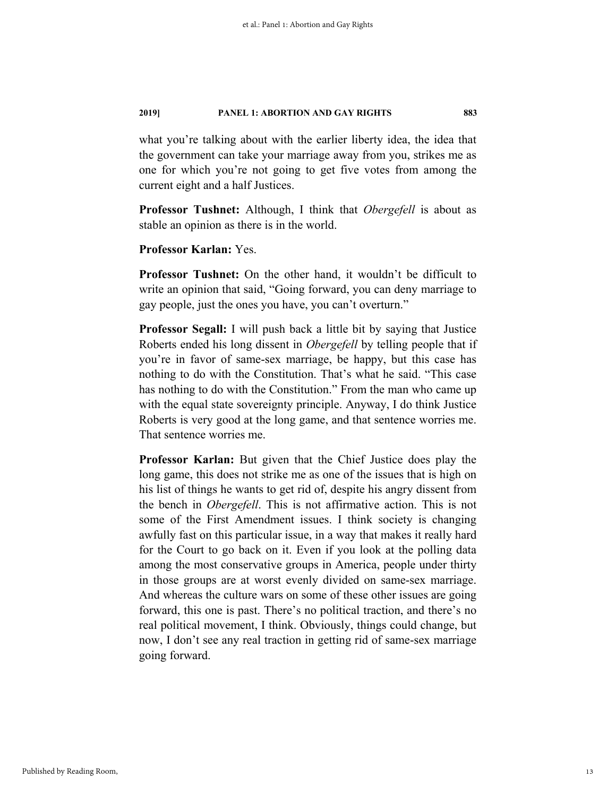what you're talking about with the earlier liberty idea, the idea that the government can take your marriage away from you, strikes me as one for which you're not going to get five votes from among the current eight and a half Justices.

**Professor Tushnet:** Although, I think that *Obergefell* is about as stable an opinion as there is in the world.

**Professor Karlan:** Yes.

**Professor Tushnet:** On the other hand, it wouldn't be difficult to write an opinion that said, "Going forward, you can deny marriage to gay people, just the ones you have, you can't overturn."

**Professor Segall:** I will push back a little bit by saying that Justice Roberts ended his long dissent in *Obergefell* by telling people that if you're in favor of same-sex marriage, be happy, but this case has nothing to do with the Constitution. That's what he said. "This case has nothing to do with the Constitution." From the man who came up with the equal state sovereignty principle. Anyway, I do think Justice Roberts is very good at the long game, and that sentence worries me. That sentence worries me.

**Professor Karlan:** But given that the Chief Justice does play the long game, this does not strike me as one of the issues that is high on his list of things he wants to get rid of, despite his angry dissent from the bench in *Obergefell*. This is not affirmative action. This is not some of the First Amendment issues. I think society is changing awfully fast on this particular issue, in a way that makes it really hard for the Court to go back on it. Even if you look at the polling data among the most conservative groups in America, people under thirty in those groups are at worst evenly divided on same-sex marriage. And whereas the culture wars on some of these other issues are going forward, this one is past. There's no political traction, and there's no real political movement, I think. Obviously, things could change, but now, I don't see any real traction in getting rid of same-sex marriage going forward.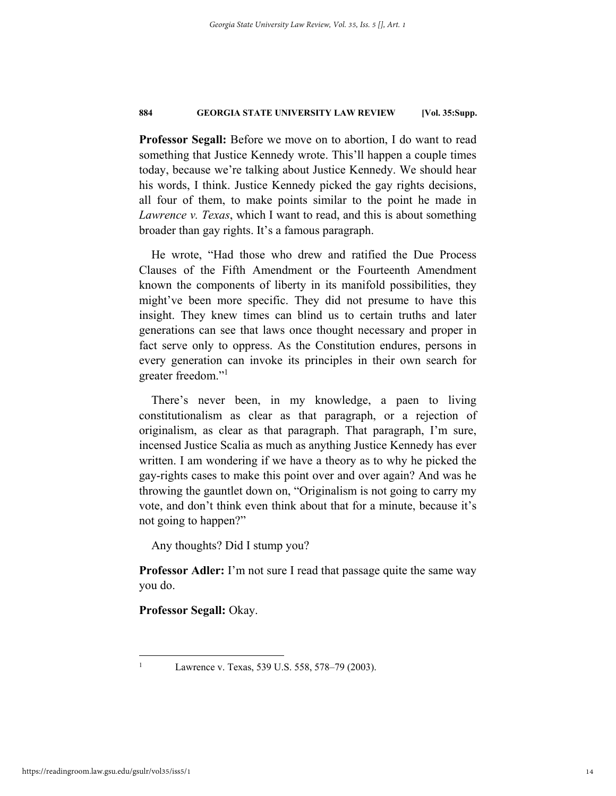**Professor Segall:** Before we move on to abortion, I do want to read something that Justice Kennedy wrote. This'll happen a couple times today, because we're talking about Justice Kennedy. We should hear his words, I think. Justice Kennedy picked the gay rights decisions, all four of them, to make points similar to the point he made in *Lawrence v. Texas*, which I want to read, and this is about something broader than gay rights. It's a famous paragraph.

He wrote, "Had those who drew and ratified the Due Process Clauses of the Fifth Amendment or the Fourteenth Amendment known the components of liberty in its manifold possibilities, they might've been more specific. They did not presume to have this insight. They knew times can blind us to certain truths and later generations can see that laws once thought necessary and proper in fact serve only to oppress. As the Constitution endures, persons in every generation can invoke its principles in their own search for greater freedom."<sup>1</sup>

There's never been, in my knowledge, a paen to living constitutionalism as clear as that paragraph, or a rejection of originalism, as clear as that paragraph. That paragraph, I'm sure, incensed Justice Scalia as much as anything Justice Kennedy has ever written. I am wondering if we have a theory as to why he picked the gay-rights cases to make this point over and over again? And was he throwing the gauntlet down on, "Originalism is not going to carry my vote, and don't think even think about that for a minute, because it's not going to happen?"

Any thoughts? Did I stump you?

**Professor Adler:** I'm not sure I read that passage quite the same way you do.

**Professor Segall:** Okay.

1 1

Lawrence v. Texas, 539 U.S. 558, 578–79 (2003).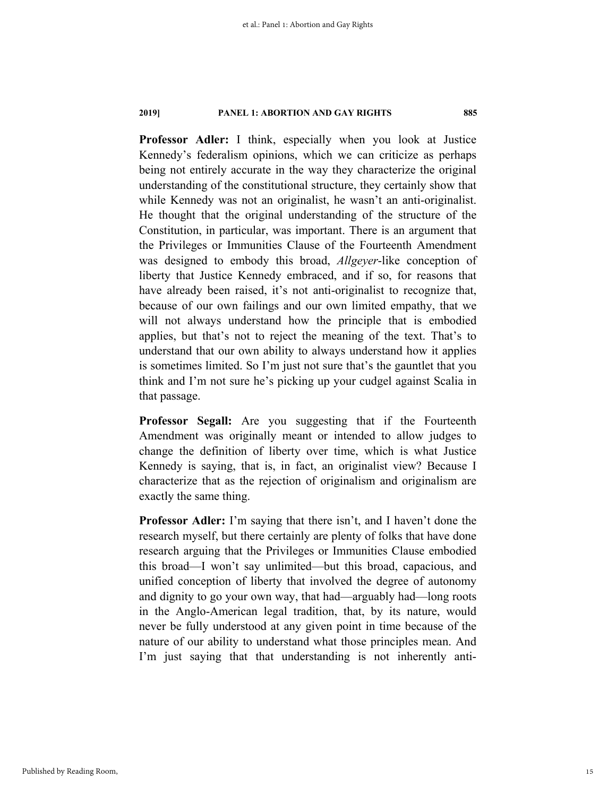**Professor Adler:** I think, especially when you look at Justice Kennedy's federalism opinions, which we can criticize as perhaps being not entirely accurate in the way they characterize the original understanding of the constitutional structure, they certainly show that while Kennedy was not an originalist, he wasn't an anti-originalist. He thought that the original understanding of the structure of the Constitution, in particular, was important. There is an argument that the Privileges or Immunities Clause of the Fourteenth Amendment was designed to embody this broad, *Allgeyer*-like conception of liberty that Justice Kennedy embraced, and if so, for reasons that have already been raised, it's not anti-originalist to recognize that, because of our own failings and our own limited empathy, that we will not always understand how the principle that is embodied applies, but that's not to reject the meaning of the text. That's to understand that our own ability to always understand how it applies is sometimes limited. So I'm just not sure that's the gauntlet that you think and I'm not sure he's picking up your cudgel against Scalia in that passage.

**Professor Segall:** Are you suggesting that if the Fourteenth Amendment was originally meant or intended to allow judges to change the definition of liberty over time, which is what Justice Kennedy is saying, that is, in fact, an originalist view? Because I characterize that as the rejection of originalism and originalism are exactly the same thing.

**Professor Adler:** I'm saying that there isn't, and I haven't done the research myself, but there certainly are plenty of folks that have done research arguing that the Privileges or Immunities Clause embodied this broad—I won't say unlimited—but this broad, capacious, and unified conception of liberty that involved the degree of autonomy and dignity to go your own way, that had—arguably had—long roots in the Anglo-American legal tradition, that, by its nature, would never be fully understood at any given point in time because of the nature of our ability to understand what those principles mean. And I'm just saying that that understanding is not inherently anti-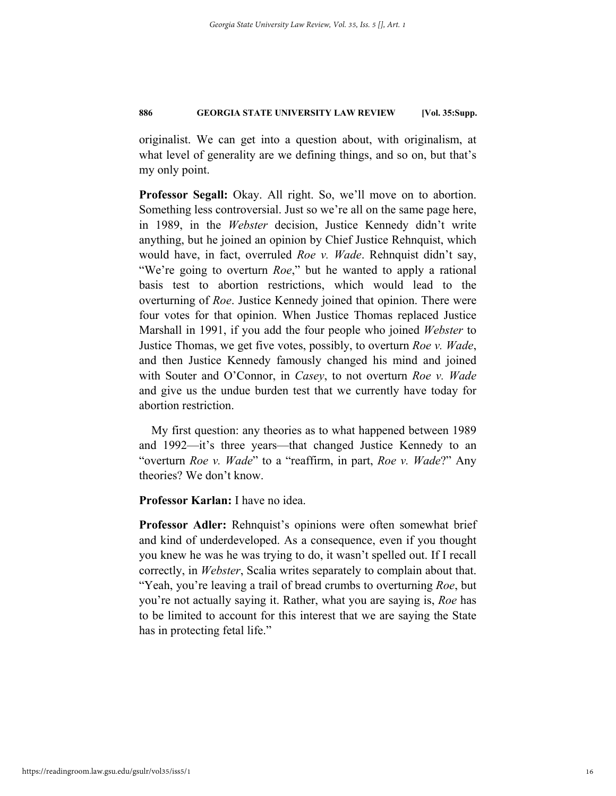originalist. We can get into a question about, with originalism, at what level of generality are we defining things, and so on, but that's my only point.

**Professor Segall:** Okay. All right. So, we'll move on to abortion. Something less controversial. Just so we're all on the same page here, in 1989, in the *Webster* decision, Justice Kennedy didn't write anything, but he joined an opinion by Chief Justice Rehnquist, which would have, in fact, overruled *Roe v. Wade*. Rehnquist didn't say, "We're going to overturn *Roe*," but he wanted to apply a rational basis test to abortion restrictions, which would lead to the overturning of *Roe*. Justice Kennedy joined that opinion. There were four votes for that opinion. When Justice Thomas replaced Justice Marshall in 1991, if you add the four people who joined *Webster* to Justice Thomas, we get five votes, possibly, to overturn *Roe v. Wade*, and then Justice Kennedy famously changed his mind and joined with Souter and O'Connor, in *Casey*, to not overturn *Roe v. Wade* and give us the undue burden test that we currently have today for abortion restriction.

My first question: any theories as to what happened between 1989 and 1992—it's three years—that changed Justice Kennedy to an "overturn *Roe v. Wade*" to a "reaffirm, in part, *Roe v. Wade*?" Any theories? We don't know.

**Professor Karlan:** I have no idea.

**Professor Adler:** Rehnquist's opinions were often somewhat brief and kind of underdeveloped. As a consequence, even if you thought you knew he was he was trying to do, it wasn't spelled out. If I recall correctly, in *Webster*, Scalia writes separately to complain about that. "Yeah, you're leaving a trail of bread crumbs to overturning *Roe*, but you're not actually saying it. Rather, what you are saying is, *Roe* has to be limited to account for this interest that we are saying the State has in protecting fetal life."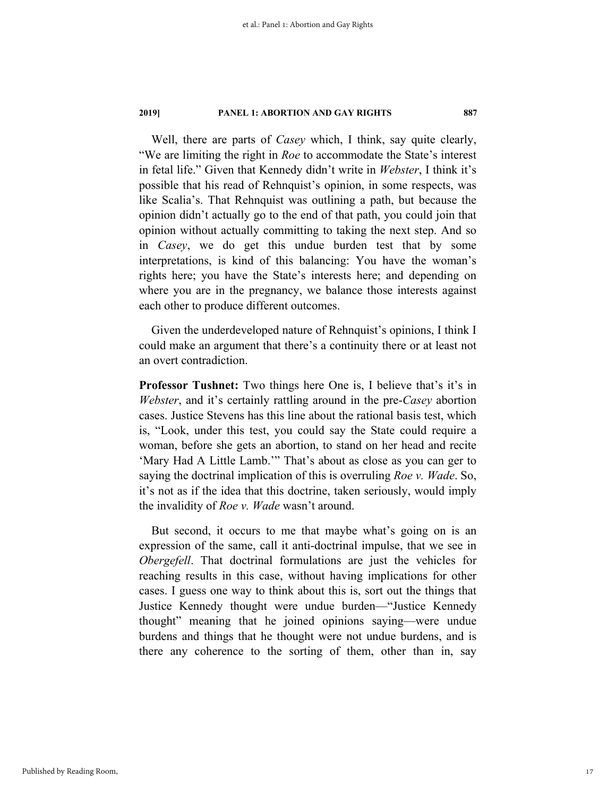Well, there are parts of *Casey* which, I think, say quite clearly, "We are limiting the right in *Roe* to accommodate the State's interest in fetal life." Given that Kennedy didn't write in *Webster*, I think it's possible that his read of Rehnquist's opinion, in some respects, was like Scalia's. That Rehnquist was outlining a path, but because the opinion didn't actually go to the end of that path, you could join that opinion without actually committing to taking the next step. And so in *Casey*, we do get this undue burden test that by some interpretations, is kind of this balancing: You have the woman's rights here; you have the State's interests here; and depending on where you are in the pregnancy, we balance those interests against each other to produce different outcomes.

Given the underdeveloped nature of Rehnquist's opinions, I think I could make an argument that there's a continuity there or at least not an overt contradiction.

**Professor Tushnet:** Two things here One is, I believe that's it's in *Webster*, and it's certainly rattling around in the pre-*Casey* abortion cases. Justice Stevens has this line about the rational basis test, which is, "Look, under this test, you could say the State could require a woman, before she gets an abortion, to stand on her head and recite 'Mary Had A Little Lamb.'" That's about as close as you can ger to saying the doctrinal implication of this is overruling *Roe v. Wade*. So, it's not as if the idea that this doctrine, taken seriously, would imply the invalidity of *Roe v. Wade* wasn't around.

But second, it occurs to me that maybe what's going on is an expression of the same, call it anti-doctrinal impulse, that we see in *Obergefell*. That doctrinal formulations are just the vehicles for reaching results in this case, without having implications for other cases. I guess one way to think about this is, sort out the things that Justice Kennedy thought were undue burden—"Justice Kennedy thought" meaning that he joined opinions saying—were undue burdens and things that he thought were not undue burdens, and is there any coherence to the sorting of them, other than in, say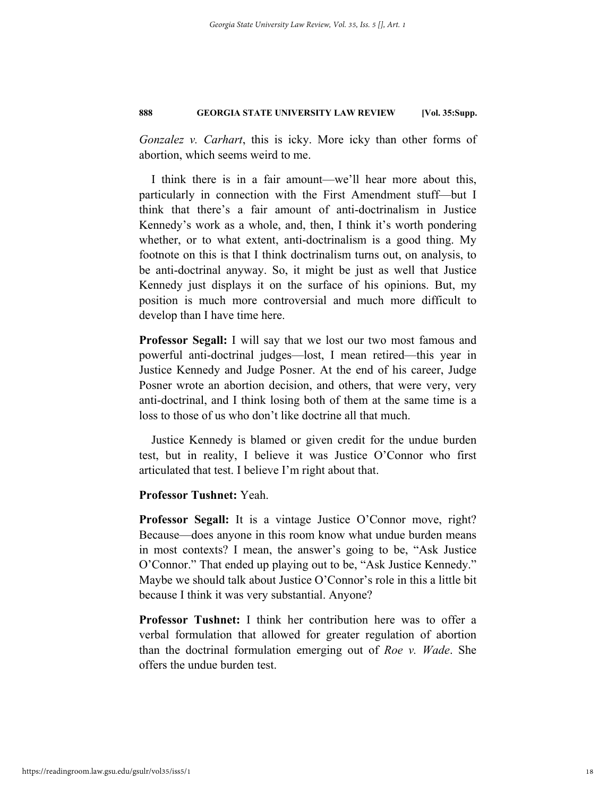*Gonzalez v. Carhart*, this is icky. More icky than other forms of abortion, which seems weird to me.

I think there is in a fair amount—we'll hear more about this, particularly in connection with the First Amendment stuff—but I think that there's a fair amount of anti-doctrinalism in Justice Kennedy's work as a whole, and, then, I think it's worth pondering whether, or to what extent, anti-doctrinalism is a good thing. My footnote on this is that I think doctrinalism turns out, on analysis, to be anti-doctrinal anyway. So, it might be just as well that Justice Kennedy just displays it on the surface of his opinions. But, my position is much more controversial and much more difficult to develop than I have time here.

**Professor Segall:** I will say that we lost our two most famous and powerful anti-doctrinal judges—lost, I mean retired—this year in Justice Kennedy and Judge Posner. At the end of his career, Judge Posner wrote an abortion decision, and others, that were very, very anti-doctrinal, and I think losing both of them at the same time is a loss to those of us who don't like doctrine all that much.

Justice Kennedy is blamed or given credit for the undue burden test, but in reality, I believe it was Justice O'Connor who first articulated that test. I believe I'm right about that.

### **Professor Tushnet:** Yeah.

**Professor Segall:** It is a vintage Justice O'Connor move, right? Because—does anyone in this room know what undue burden means in most contexts? I mean, the answer's going to be, "Ask Justice O'Connor." That ended up playing out to be, "Ask Justice Kennedy." Maybe we should talk about Justice O'Connor's role in this a little bit because I think it was very substantial. Anyone?

**Professor Tushnet:** I think her contribution here was to offer a verbal formulation that allowed for greater regulation of abortion than the doctrinal formulation emerging out of *Roe v. Wade*. She offers the undue burden test.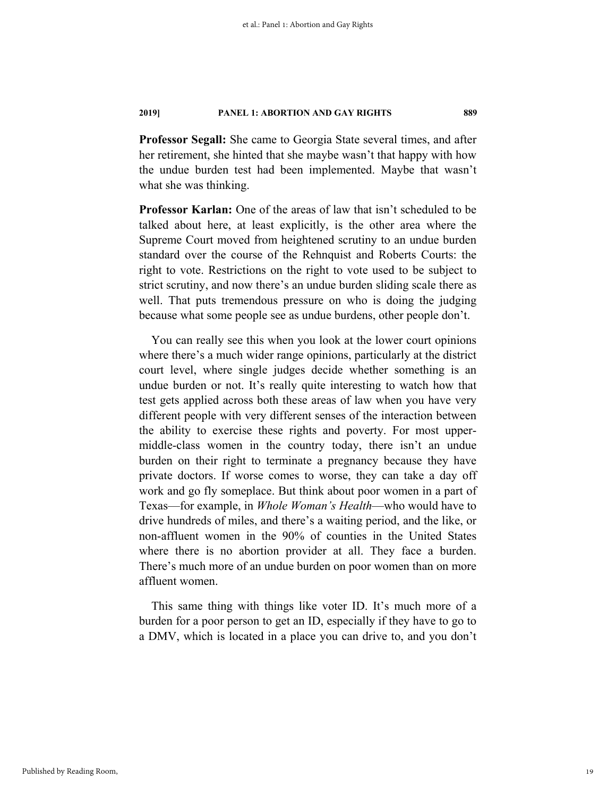**Professor Segall:** She came to Georgia State several times, and after her retirement, she hinted that she maybe wasn't that happy with how the undue burden test had been implemented. Maybe that wasn't what she was thinking.

**Professor Karlan:** One of the areas of law that isn't scheduled to be talked about here, at least explicitly, is the other area where the Supreme Court moved from heightened scrutiny to an undue burden standard over the course of the Rehnquist and Roberts Courts: the right to vote. Restrictions on the right to vote used to be subject to strict scrutiny, and now there's an undue burden sliding scale there as well. That puts tremendous pressure on who is doing the judging because what some people see as undue burdens, other people don't.

You can really see this when you look at the lower court opinions where there's a much wider range opinions, particularly at the district court level, where single judges decide whether something is an undue burden or not. It's really quite interesting to watch how that test gets applied across both these areas of law when you have very different people with very different senses of the interaction between the ability to exercise these rights and poverty. For most uppermiddle-class women in the country today, there isn't an undue burden on their right to terminate a pregnancy because they have private doctors. If worse comes to worse, they can take a day off work and go fly someplace. But think about poor women in a part of Texas—for example, in *Whole Woman's Health*—who would have to drive hundreds of miles, and there's a waiting period, and the like, or non-affluent women in the 90% of counties in the United States where there is no abortion provider at all. They face a burden. There's much more of an undue burden on poor women than on more affluent women.

This same thing with things like voter ID. It's much more of a burden for a poor person to get an ID, especially if they have to go to a DMV, which is located in a place you can drive to, and you don't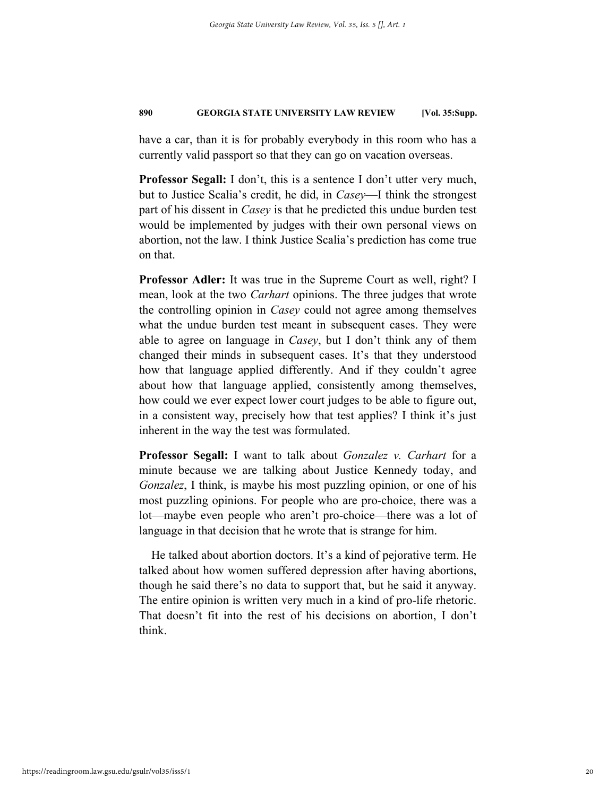have a car, than it is for probably everybody in this room who has a currently valid passport so that they can go on vacation overseas.

**Professor Segall:** I don't, this is a sentence I don't utter very much, but to Justice Scalia's credit, he did, in *Casey*—I think the strongest part of his dissent in *Casey* is that he predicted this undue burden test would be implemented by judges with their own personal views on abortion, not the law. I think Justice Scalia's prediction has come true on that.

**Professor Adler:** It was true in the Supreme Court as well, right? I mean, look at the two *Carhart* opinions. The three judges that wrote the controlling opinion in *Casey* could not agree among themselves what the undue burden test meant in subsequent cases. They were able to agree on language in *Casey*, but I don't think any of them changed their minds in subsequent cases. It's that they understood how that language applied differently. And if they couldn't agree about how that language applied, consistently among themselves, how could we ever expect lower court judges to be able to figure out, in a consistent way, precisely how that test applies? I think it's just inherent in the way the test was formulated.

**Professor Segall:** I want to talk about *Gonzalez v. Carhart* for a minute because we are talking about Justice Kennedy today, and *Gonzalez*, I think, is maybe his most puzzling opinion, or one of his most puzzling opinions. For people who are pro-choice, there was a lot—maybe even people who aren't pro-choice—there was a lot of language in that decision that he wrote that is strange for him.

He talked about abortion doctors. It's a kind of pejorative term. He talked about how women suffered depression after having abortions, though he said there's no data to support that, but he said it anyway. The entire opinion is written very much in a kind of pro-life rhetoric. That doesn't fit into the rest of his decisions on abortion, I don't think.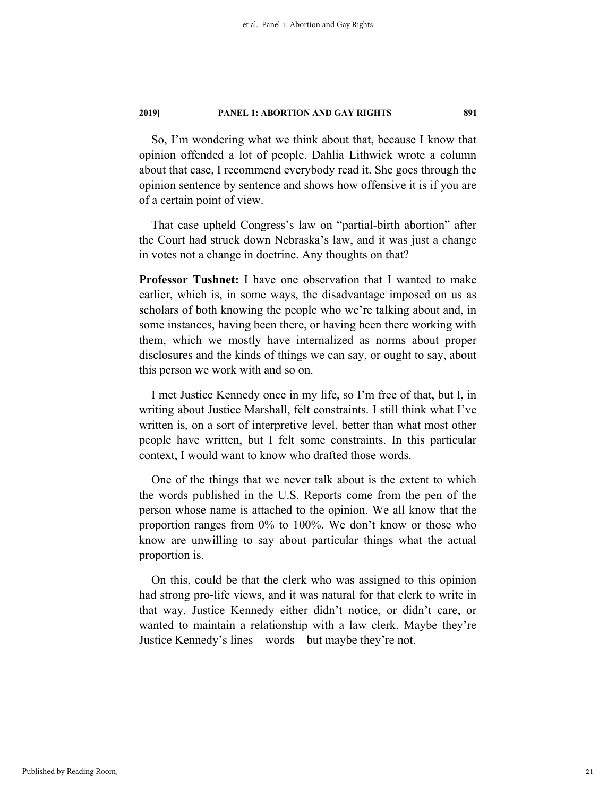So, I'm wondering what we think about that, because I know that opinion offended a lot of people. Dahlia Lithwick wrote a column about that case, I recommend everybody read it. She goes through the opinion sentence by sentence and shows how offensive it is if you are of a certain point of view.

That case upheld Congress's law on "partial-birth abortion" after the Court had struck down Nebraska's law, and it was just a change in votes not a change in doctrine. Any thoughts on that?

**Professor Tushnet:** I have one observation that I wanted to make earlier, which is, in some ways, the disadvantage imposed on us as scholars of both knowing the people who we're talking about and, in some instances, having been there, or having been there working with them, which we mostly have internalized as norms about proper disclosures and the kinds of things we can say, or ought to say, about this person we work with and so on.

I met Justice Kennedy once in my life, so I'm free of that, but I, in writing about Justice Marshall, felt constraints. I still think what I've written is, on a sort of interpretive level, better than what most other people have written, but I felt some constraints. In this particular context, I would want to know who drafted those words.

One of the things that we never talk about is the extent to which the words published in the U.S. Reports come from the pen of the person whose name is attached to the opinion. We all know that the proportion ranges from 0% to 100%. We don't know or those who know are unwilling to say about particular things what the actual proportion is.

On this, could be that the clerk who was assigned to this opinion had strong pro-life views, and it was natural for that clerk to write in that way. Justice Kennedy either didn't notice, or didn't care, or wanted to maintain a relationship with a law clerk. Maybe they're Justice Kennedy's lines—words—but maybe they're not.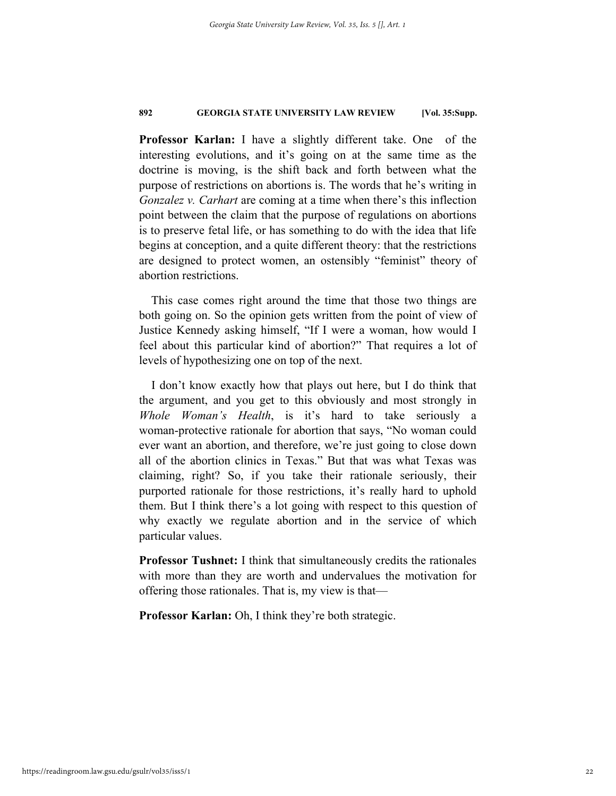**Professor Karlan:** I have a slightly different take. One of the interesting evolutions, and it's going on at the same time as the doctrine is moving, is the shift back and forth between what the purpose of restrictions on abortions is. The words that he's writing in *Gonzalez v. Carhart* are coming at a time when there's this inflection point between the claim that the purpose of regulations on abortions is to preserve fetal life, or has something to do with the idea that life begins at conception, and a quite different theory: that the restrictions are designed to protect women, an ostensibly "feminist" theory of abortion restrictions.

This case comes right around the time that those two things are both going on. So the opinion gets written from the point of view of Justice Kennedy asking himself, "If I were a woman, how would I feel about this particular kind of abortion?" That requires a lot of levels of hypothesizing one on top of the next.

I don't know exactly how that plays out here, but I do think that the argument, and you get to this obviously and most strongly in *Whole Woman's Health*, is it's hard to take seriously a woman-protective rationale for abortion that says, "No woman could ever want an abortion, and therefore, we're just going to close down all of the abortion clinics in Texas." But that was what Texas was claiming, right? So, if you take their rationale seriously, their purported rationale for those restrictions, it's really hard to uphold them. But I think there's a lot going with respect to this question of why exactly we regulate abortion and in the service of which particular values.

**Professor Tushnet:** I think that simultaneously credits the rationales with more than they are worth and undervalues the motivation for offering those rationales. That is, my view is that—

**Professor Karlan:** Oh, I think they're both strategic.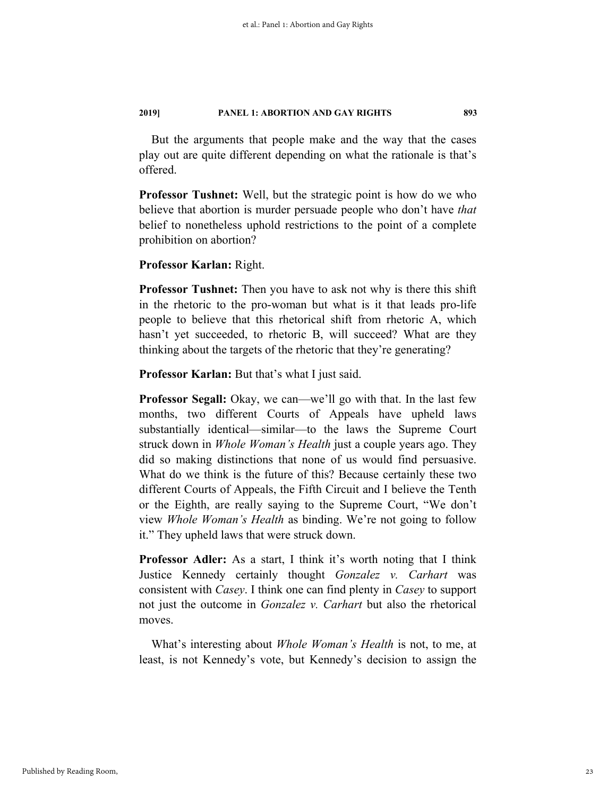But the arguments that people make and the way that the cases play out are quite different depending on what the rationale is that's offered.

**Professor Tushnet:** Well, but the strategic point is how do we who believe that abortion is murder persuade people who don't have *that* belief to nonetheless uphold restrictions to the point of a complete prohibition on abortion?

#### **Professor Karlan:** Right.

**Professor Tushnet:** Then you have to ask not why is there this shift in the rhetoric to the pro-woman but what is it that leads pro-life people to believe that this rhetorical shift from rhetoric A, which hasn't yet succeeded, to rhetoric B, will succeed? What are they thinking about the targets of the rhetoric that they're generating?

**Professor Karlan:** But that's what I just said.

**Professor Segall:** Okay, we can—we'll go with that. In the last few months, two different Courts of Appeals have upheld laws substantially identical—similar—to the laws the Supreme Court struck down in *Whole Woman's Health* just a couple years ago. They did so making distinctions that none of us would find persuasive. What do we think is the future of this? Because certainly these two different Courts of Appeals, the Fifth Circuit and I believe the Tenth or the Eighth, are really saying to the Supreme Court, "We don't view *Whole Woman's Health* as binding. We're not going to follow it." They upheld laws that were struck down.

**Professor Adler:** As a start, I think it's worth noting that I think Justice Kennedy certainly thought *Gonzalez v. Carhart* was consistent with *Casey*. I think one can find plenty in *Casey* to support not just the outcome in *Gonzalez v. Carhart* but also the rhetorical moves.

What's interesting about *Whole Woman's Health* is not, to me, at least, is not Kennedy's vote, but Kennedy's decision to assign the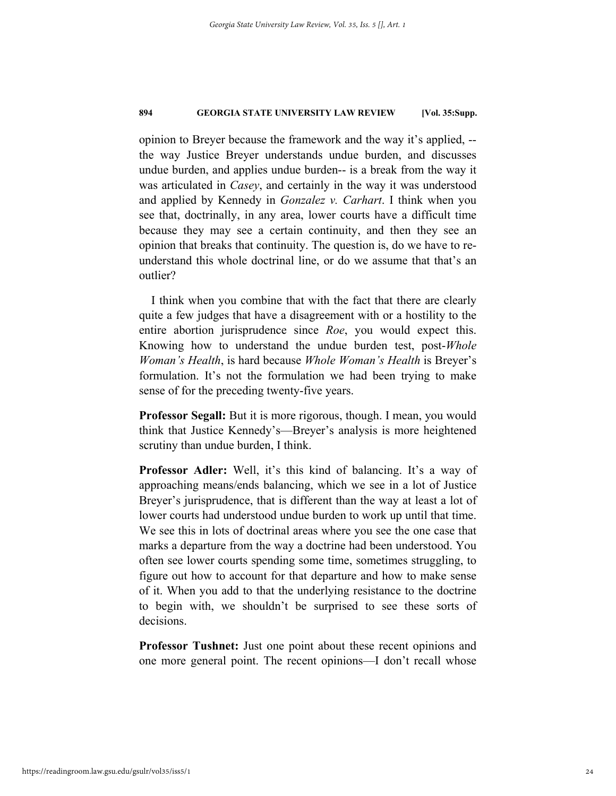opinion to Breyer because the framework and the way it's applied, - the way Justice Breyer understands undue burden, and discusses undue burden, and applies undue burden-- is a break from the way it was articulated in *Casey*, and certainly in the way it was understood and applied by Kennedy in *Gonzalez v. Carhart*. I think when you see that, doctrinally, in any area, lower courts have a difficult time because they may see a certain continuity, and then they see an opinion that breaks that continuity. The question is, do we have to reunderstand this whole doctrinal line, or do we assume that that's an outlier?

I think when you combine that with the fact that there are clearly quite a few judges that have a disagreement with or a hostility to the entire abortion jurisprudence since *Roe*, you would expect this. Knowing how to understand the undue burden test, post-*Whole Woman's Health*, is hard because *Whole Woman's Health* is Breyer's formulation. It's not the formulation we had been trying to make sense of for the preceding twenty-five years.

**Professor Segall:** But it is more rigorous, though. I mean, you would think that Justice Kennedy's—Breyer's analysis is more heightened scrutiny than undue burden, I think.

**Professor Adler:** Well, it's this kind of balancing. It's a way of approaching means/ends balancing, which we see in a lot of Justice Breyer's jurisprudence, that is different than the way at least a lot of lower courts had understood undue burden to work up until that time. We see this in lots of doctrinal areas where you see the one case that marks a departure from the way a doctrine had been understood. You often see lower courts spending some time, sometimes struggling, to figure out how to account for that departure and how to make sense of it. When you add to that the underlying resistance to the doctrine to begin with, we shouldn't be surprised to see these sorts of decisions.

**Professor Tushnet:** Just one point about these recent opinions and one more general point. The recent opinions—I don't recall whose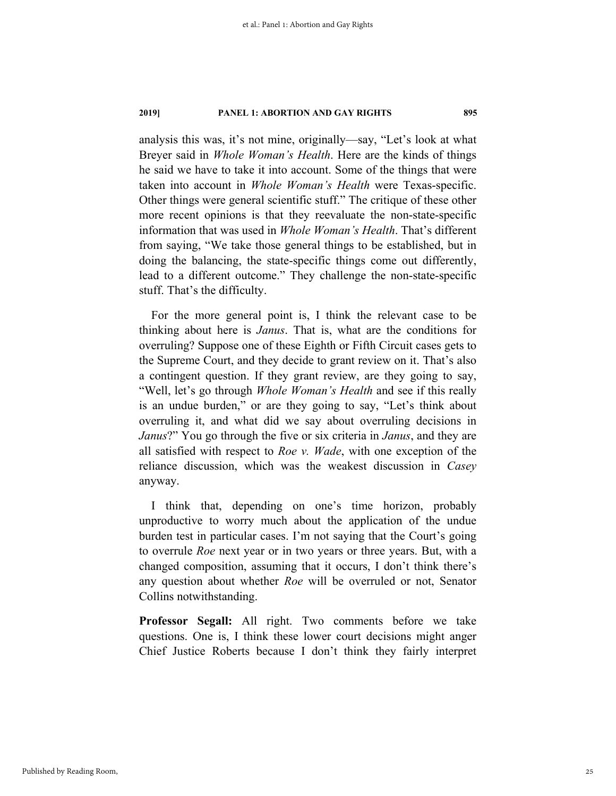analysis this was, it's not mine, originally—say, "Let's look at what Breyer said in *Whole Woman's Health*. Here are the kinds of things he said we have to take it into account. Some of the things that were taken into account in *Whole Woman's Health* were Texas-specific. Other things were general scientific stuff." The critique of these other more recent opinions is that they reevaluate the non-state-specific information that was used in *Whole Woman's Health*. That's different from saying, "We take those general things to be established, but in doing the balancing, the state-specific things come out differently, lead to a different outcome." They challenge the non-state-specific stuff. That's the difficulty.

For the more general point is, I think the relevant case to be thinking about here is *Janus*. That is, what are the conditions for overruling? Suppose one of these Eighth or Fifth Circuit cases gets to the Supreme Court, and they decide to grant review on it. That's also a contingent question. If they grant review, are they going to say, "Well, let's go through *Whole Woman's Health* and see if this really is an undue burden," or are they going to say, "Let's think about overruling it, and what did we say about overruling decisions in *Janus*?" You go through the five or six criteria in *Janus*, and they are all satisfied with respect to *Roe v. Wade*, with one exception of the reliance discussion, which was the weakest discussion in *Casey* anyway.

I think that, depending on one's time horizon, probably unproductive to worry much about the application of the undue burden test in particular cases. I'm not saying that the Court's going to overrule *Roe* next year or in two years or three years. But, with a changed composition, assuming that it occurs, I don't think there's any question about whether *Roe* will be overruled or not, Senator Collins notwithstanding.

**Professor Segall:** All right. Two comments before we take questions. One is, I think these lower court decisions might anger Chief Justice Roberts because I don't think they fairly interpret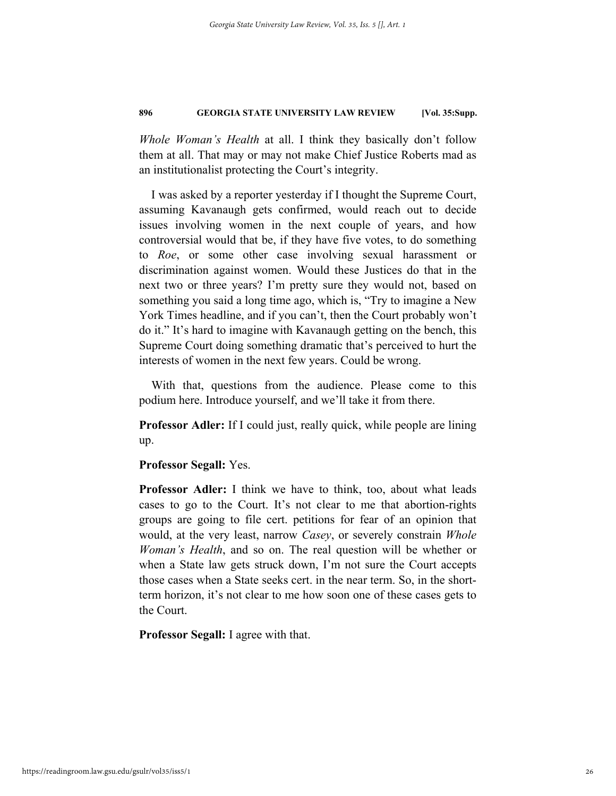*Whole Woman's Health* at all. I think they basically don't follow them at all. That may or may not make Chief Justice Roberts mad as an institutionalist protecting the Court's integrity.

I was asked by a reporter yesterday if I thought the Supreme Court, assuming Kavanaugh gets confirmed, would reach out to decide issues involving women in the next couple of years, and how controversial would that be, if they have five votes, to do something to *Roe*, or some other case involving sexual harassment or discrimination against women. Would these Justices do that in the next two or three years? I'm pretty sure they would not, based on something you said a long time ago, which is, "Try to imagine a New York Times headline, and if you can't, then the Court probably won't do it." It's hard to imagine with Kavanaugh getting on the bench, this Supreme Court doing something dramatic that's perceived to hurt the interests of women in the next few years. Could be wrong.

With that, questions from the audience. Please come to this podium here. Introduce yourself, and we'll take it from there.

**Professor Adler:** If I could just, really quick, while people are lining up.

#### **Professor Segall:** Yes.

**Professor Adler:** I think we have to think, too, about what leads cases to go to the Court. It's not clear to me that abortion-rights groups are going to file cert. petitions for fear of an opinion that would, at the very least, narrow *Casey*, or severely constrain *Whole Woman's Health*, and so on. The real question will be whether or when a State law gets struck down, I'm not sure the Court accepts those cases when a State seeks cert. in the near term. So, in the shortterm horizon, it's not clear to me how soon one of these cases gets to the Court.

**Professor Segall:** I agree with that.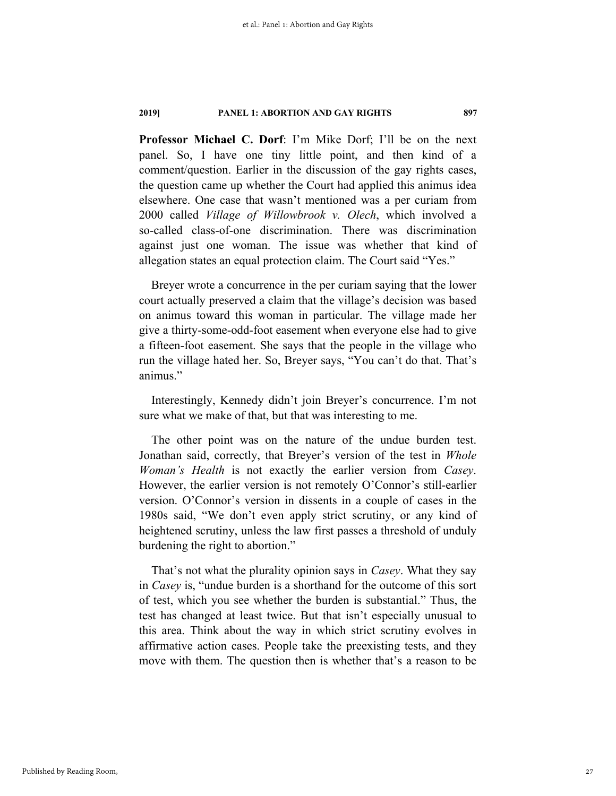**Professor Michael C. Dorf**: I'm Mike Dorf; I'll be on the next panel. So, I have one tiny little point, and then kind of a comment/question. Earlier in the discussion of the gay rights cases, the question came up whether the Court had applied this animus idea elsewhere. One case that wasn't mentioned was a per curiam from 2000 called *Village of Willowbrook v. Olech*, which involved a so-called class-of-one discrimination. There was discrimination against just one woman. The issue was whether that kind of allegation states an equal protection claim. The Court said "Yes."

Breyer wrote a concurrence in the per curiam saying that the lower court actually preserved a claim that the village's decision was based on animus toward this woman in particular. The village made her give a thirty-some-odd-foot easement when everyone else had to give a fifteen-foot easement. She says that the people in the village who run the village hated her. So, Breyer says, "You can't do that. That's animus."

Interestingly, Kennedy didn't join Breyer's concurrence. I'm not sure what we make of that, but that was interesting to me.

The other point was on the nature of the undue burden test. Jonathan said, correctly, that Breyer's version of the test in *Whole Woman's Health* is not exactly the earlier version from *Casey*. However, the earlier version is not remotely O'Connor's still-earlier version. O'Connor's version in dissents in a couple of cases in the 1980s said, "We don't even apply strict scrutiny, or any kind of heightened scrutiny, unless the law first passes a threshold of unduly burdening the right to abortion."

That's not what the plurality opinion says in *Casey*. What they say in *Casey* is, "undue burden is a shorthand for the outcome of this sort of test, which you see whether the burden is substantial." Thus, the test has changed at least twice. But that isn't especially unusual to this area. Think about the way in which strict scrutiny evolves in affirmative action cases. People take the preexisting tests, and they move with them. The question then is whether that's a reason to be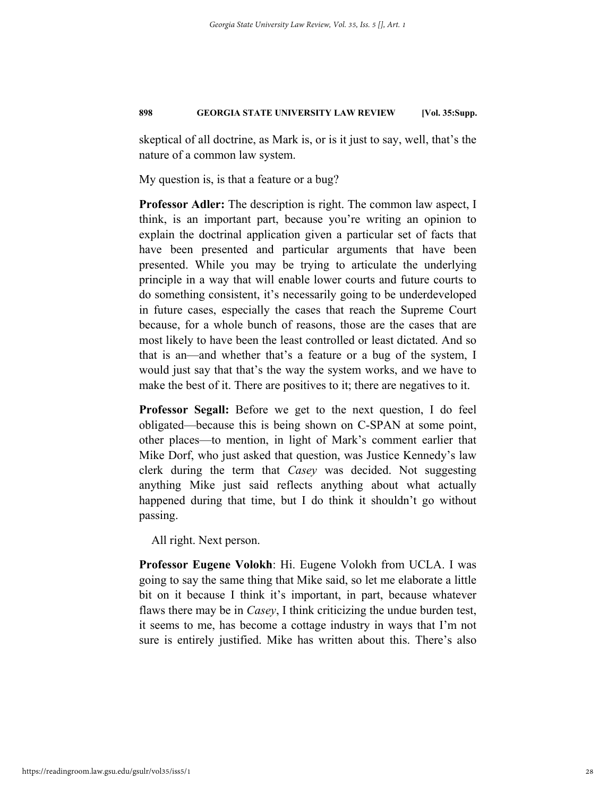skeptical of all doctrine, as Mark is, or is it just to say, well, that's the nature of a common law system.

My question is, is that a feature or a bug?

**Professor Adler:** The description is right. The common law aspect, I think, is an important part, because you're writing an opinion to explain the doctrinal application given a particular set of facts that have been presented and particular arguments that have been presented. While you may be trying to articulate the underlying principle in a way that will enable lower courts and future courts to do something consistent, it's necessarily going to be underdeveloped in future cases, especially the cases that reach the Supreme Court because, for a whole bunch of reasons, those are the cases that are most likely to have been the least controlled or least dictated. And so that is an—and whether that's a feature or a bug of the system, I would just say that that's the way the system works, and we have to make the best of it. There are positives to it; there are negatives to it.

**Professor Segall:** Before we get to the next question, I do feel obligated—because this is being shown on C-SPAN at some point, other places—to mention, in light of Mark's comment earlier that Mike Dorf, who just asked that question, was Justice Kennedy's law clerk during the term that *Casey* was decided. Not suggesting anything Mike just said reflects anything about what actually happened during that time, but I do think it shouldn't go without passing.

All right. Next person.

**Professor Eugene Volokh**: Hi. Eugene Volokh from UCLA. I was going to say the same thing that Mike said, so let me elaborate a little bit on it because I think it's important, in part, because whatever flaws there may be in *Casey*, I think criticizing the undue burden test, it seems to me, has become a cottage industry in ways that I'm not sure is entirely justified. Mike has written about this. There's also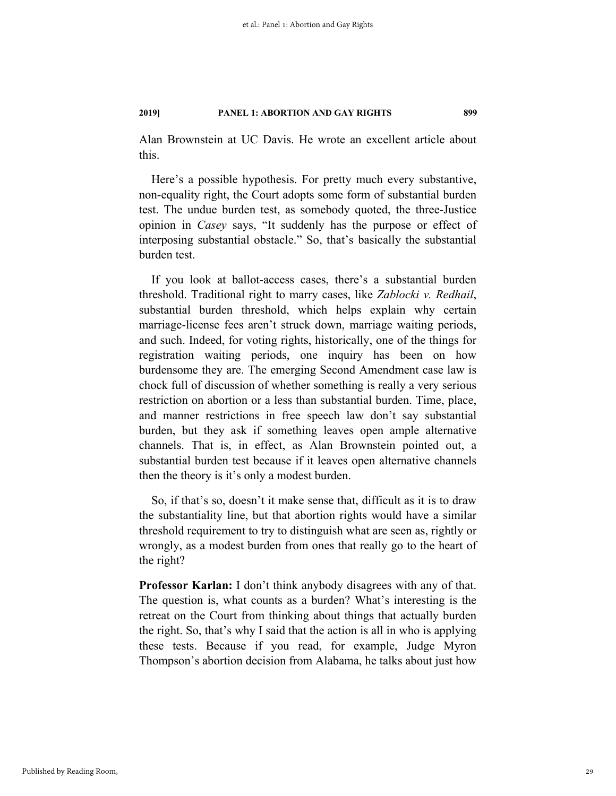Alan Brownstein at UC Davis. He wrote an excellent article about this.

Here's a possible hypothesis. For pretty much every substantive, non-equality right, the Court adopts some form of substantial burden test. The undue burden test, as somebody quoted, the three-Justice opinion in *Casey* says, "It suddenly has the purpose or effect of interposing substantial obstacle." So, that's basically the substantial burden test.

If you look at ballot-access cases, there's a substantial burden threshold. Traditional right to marry cases, like *Zablocki v. Redhail*, substantial burden threshold, which helps explain why certain marriage-license fees aren't struck down, marriage waiting periods, and such. Indeed, for voting rights, historically, one of the things for registration waiting periods, one inquiry has been on how burdensome they are. The emerging Second Amendment case law is chock full of discussion of whether something is really a very serious restriction on abortion or a less than substantial burden. Time, place, and manner restrictions in free speech law don't say substantial burden, but they ask if something leaves open ample alternative channels. That is, in effect, as Alan Brownstein pointed out, a substantial burden test because if it leaves open alternative channels then the theory is it's only a modest burden.

So, if that's so, doesn't it make sense that, difficult as it is to draw the substantiality line, but that abortion rights would have a similar threshold requirement to try to distinguish what are seen as, rightly or wrongly, as a modest burden from ones that really go to the heart of the right?

**Professor Karlan:** I don't think anybody disagrees with any of that. The question is, what counts as a burden? What's interesting is the retreat on the Court from thinking about things that actually burden the right. So, that's why I said that the action is all in who is applying these tests. Because if you read, for example, Judge Myron Thompson's abortion decision from Alabama, he talks about just how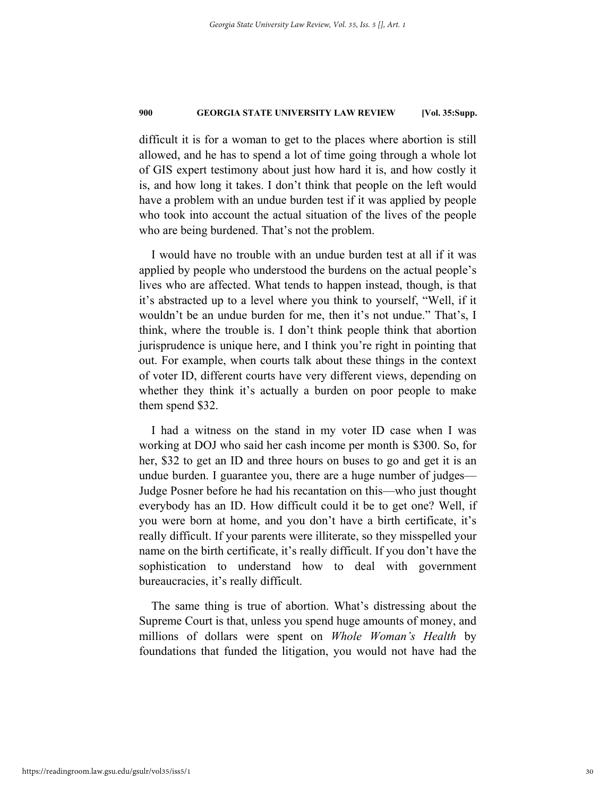difficult it is for a woman to get to the places where abortion is still allowed, and he has to spend a lot of time going through a whole lot of GIS expert testimony about just how hard it is, and how costly it is, and how long it takes. I don't think that people on the left would have a problem with an undue burden test if it was applied by people who took into account the actual situation of the lives of the people who are being burdened. That's not the problem.

I would have no trouble with an undue burden test at all if it was applied by people who understood the burdens on the actual people's lives who are affected. What tends to happen instead, though, is that it's abstracted up to a level where you think to yourself, "Well, if it wouldn't be an undue burden for me, then it's not undue." That's, I think, where the trouble is. I don't think people think that abortion jurisprudence is unique here, and I think you're right in pointing that out. For example, when courts talk about these things in the context of voter ID, different courts have very different views, depending on whether they think it's actually a burden on poor people to make them spend \$32.

I had a witness on the stand in my voter ID case when I was working at DOJ who said her cash income per month is \$300. So, for her, \$32 to get an ID and three hours on buses to go and get it is an undue burden. I guarantee you, there are a huge number of judges— Judge Posner before he had his recantation on this—who just thought everybody has an ID. How difficult could it be to get one? Well, if you were born at home, and you don't have a birth certificate, it's really difficult. If your parents were illiterate, so they misspelled your name on the birth certificate, it's really difficult. If you don't have the sophistication to understand how to deal with government bureaucracies, it's really difficult.

The same thing is true of abortion. What's distressing about the Supreme Court is that, unless you spend huge amounts of money, and millions of dollars were spent on *Whole Woman's Health* by foundations that funded the litigation, you would not have had the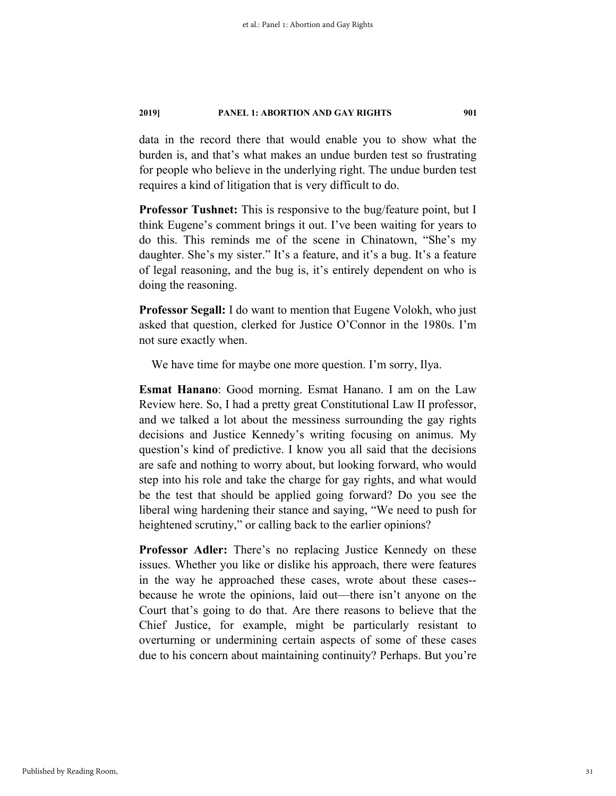data in the record there that would enable you to show what the burden is, and that's what makes an undue burden test so frustrating for people who believe in the underlying right. The undue burden test requires a kind of litigation that is very difficult to do.

**Professor Tushnet:** This is responsive to the bug/feature point, but I think Eugene's comment brings it out. I've been waiting for years to do this. This reminds me of the scene in Chinatown, "She's my daughter. She's my sister." It's a feature, and it's a bug. It's a feature of legal reasoning, and the bug is, it's entirely dependent on who is doing the reasoning.

**Professor Segall:** I do want to mention that Eugene Volokh, who just asked that question, clerked for Justice O'Connor in the 1980s. I'm not sure exactly when.

We have time for maybe one more question. I'm sorry, Ilya.

**Esmat Hanano**: Good morning. Esmat Hanano. I am on the Law Review here. So, I had a pretty great Constitutional Law II professor, and we talked a lot about the messiness surrounding the gay rights decisions and Justice Kennedy's writing focusing on animus. My question's kind of predictive. I know you all said that the decisions are safe and nothing to worry about, but looking forward, who would step into his role and take the charge for gay rights, and what would be the test that should be applied going forward? Do you see the liberal wing hardening their stance and saying, "We need to push for heightened scrutiny," or calling back to the earlier opinions?

**Professor Adler:** There's no replacing Justice Kennedy on these issues. Whether you like or dislike his approach, there were features in the way he approached these cases, wrote about these cases- because he wrote the opinions, laid out—there isn't anyone on the Court that's going to do that. Are there reasons to believe that the Chief Justice, for example, might be particularly resistant to overturning or undermining certain aspects of some of these cases due to his concern about maintaining continuity? Perhaps. But you're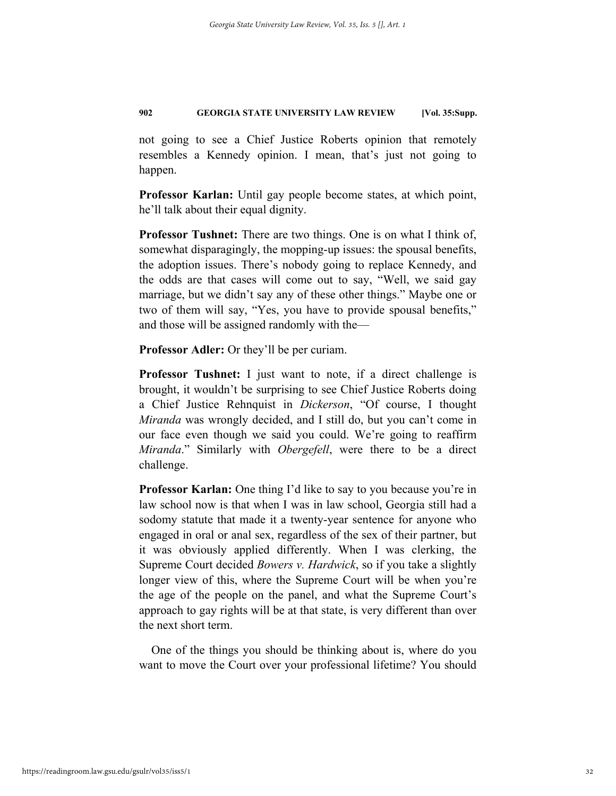not going to see a Chief Justice Roberts opinion that remotely resembles a Kennedy opinion. I mean, that's just not going to happen.

**Professor Karlan:** Until gay people become states, at which point, he'll talk about their equal dignity.

**Professor Tushnet:** There are two things. One is on what I think of, somewhat disparagingly, the mopping-up issues: the spousal benefits, the adoption issues. There's nobody going to replace Kennedy, and the odds are that cases will come out to say, "Well, we said gay marriage, but we didn't say any of these other things." Maybe one or two of them will say, "Yes, you have to provide spousal benefits," and those will be assigned randomly with the—

**Professor Adler:** Or they'll be per curiam.

**Professor Tushnet:** I just want to note, if a direct challenge is brought, it wouldn't be surprising to see Chief Justice Roberts doing a Chief Justice Rehnquist in *Dickerson*, "Of course, I thought *Miranda* was wrongly decided, and I still do, but you can't come in our face even though we said you could. We're going to reaffirm *Miranda*." Similarly with *Obergefell*, were there to be a direct challenge.

**Professor Karlan:** One thing I'd like to say to you because you're in law school now is that when I was in law school, Georgia still had a sodomy statute that made it a twenty-year sentence for anyone who engaged in oral or anal sex, regardless of the sex of their partner, but it was obviously applied differently. When I was clerking, the Supreme Court decided *Bowers v. Hardwick*, so if you take a slightly longer view of this, where the Supreme Court will be when you're the age of the people on the panel, and what the Supreme Court's approach to gay rights will be at that state, is very different than over the next short term.

One of the things you should be thinking about is, where do you want to move the Court over your professional lifetime? You should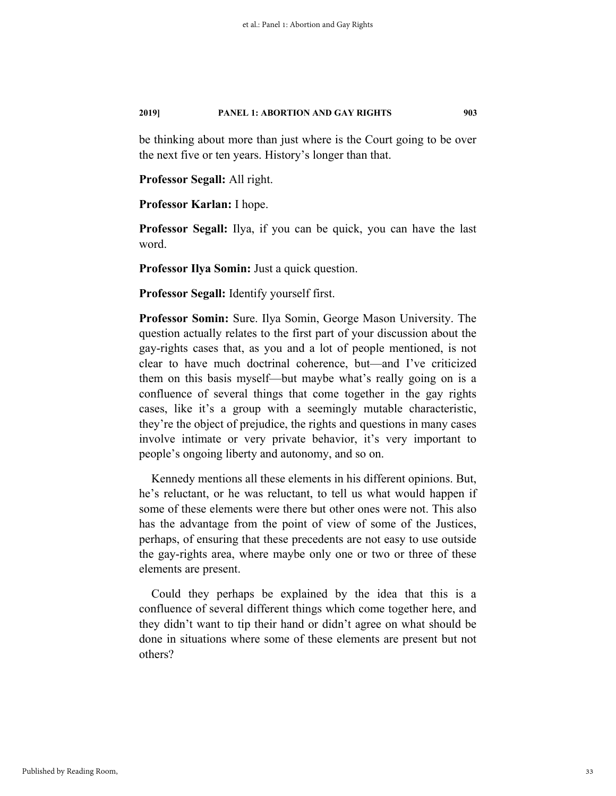be thinking about more than just where is the Court going to be over the next five or ten years. History's longer than that.

#### **Professor Segall:** All right.

**Professor Karlan:** I hope.

**Professor Segall:** Ilya, if you can be quick, you can have the last word.

**Professor Ilya Somin:** Just a quick question.

**Professor Segall:** Identify yourself first.

**Professor Somin:** Sure. Ilya Somin, George Mason University. The question actually relates to the first part of your discussion about the gay-rights cases that, as you and a lot of people mentioned, is not clear to have much doctrinal coherence, but—and I've criticized them on this basis myself—but maybe what's really going on is a confluence of several things that come together in the gay rights cases, like it's a group with a seemingly mutable characteristic, they're the object of prejudice, the rights and questions in many cases involve intimate or very private behavior, it's very important to people's ongoing liberty and autonomy, and so on.

Kennedy mentions all these elements in his different opinions. But, he's reluctant, or he was reluctant, to tell us what would happen if some of these elements were there but other ones were not. This also has the advantage from the point of view of some of the Justices, perhaps, of ensuring that these precedents are not easy to use outside the gay-rights area, where maybe only one or two or three of these elements are present.

Could they perhaps be explained by the idea that this is a confluence of several different things which come together here, and they didn't want to tip their hand or didn't agree on what should be done in situations where some of these elements are present but not others?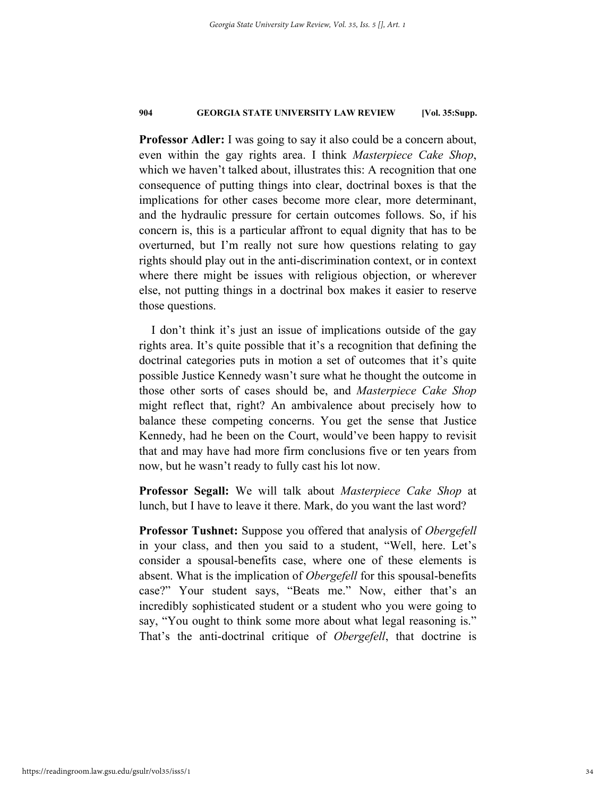**Professor Adler:** I was going to say it also could be a concern about, even within the gay rights area. I think *Masterpiece Cake Shop*, which we haven't talked about, illustrates this: A recognition that one consequence of putting things into clear, doctrinal boxes is that the implications for other cases become more clear, more determinant, and the hydraulic pressure for certain outcomes follows. So, if his concern is, this is a particular affront to equal dignity that has to be overturned, but I'm really not sure how questions relating to gay rights should play out in the anti-discrimination context, or in context where there might be issues with religious objection, or wherever else, not putting things in a doctrinal box makes it easier to reserve those questions.

I don't think it's just an issue of implications outside of the gay rights area. It's quite possible that it's a recognition that defining the doctrinal categories puts in motion a set of outcomes that it's quite possible Justice Kennedy wasn't sure what he thought the outcome in those other sorts of cases should be, and *Masterpiece Cake Shop* might reflect that, right? An ambivalence about precisely how to balance these competing concerns. You get the sense that Justice Kennedy, had he been on the Court, would've been happy to revisit that and may have had more firm conclusions five or ten years from now, but he wasn't ready to fully cast his lot now.

**Professor Segall:** We will talk about *Masterpiece Cake Shop* at lunch, but I have to leave it there. Mark, do you want the last word?

**Professor Tushnet:** Suppose you offered that analysis of *Obergefell* in your class, and then you said to a student, "Well, here. Let's consider a spousal-benefits case, where one of these elements is absent. What is the implication of *Obergefell* for this spousal-benefits case?" Your student says, "Beats me." Now, either that's an incredibly sophisticated student or a student who you were going to say, "You ought to think some more about what legal reasoning is." That's the anti-doctrinal critique of *Obergefell*, that doctrine is